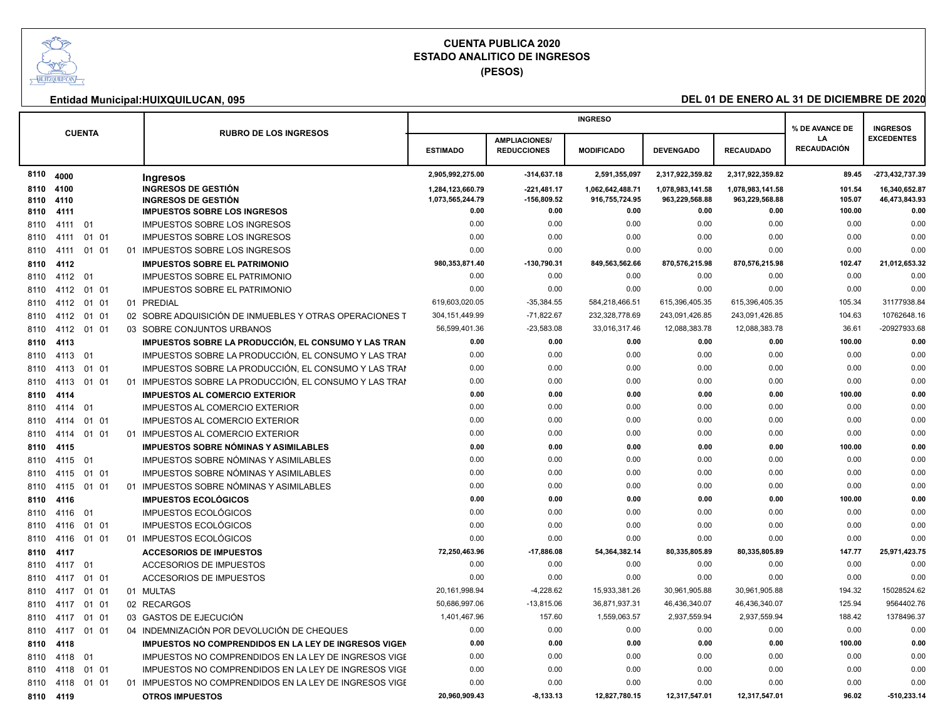

**(PESOS)**

|      |            |               |  |                                                         |                        |                      | <b>INGRESO</b>         |                        |                        |                      | <b>INGRESOS</b>       |
|------|------------|---------------|--|---------------------------------------------------------|------------------------|----------------------|------------------------|------------------------|------------------------|----------------------|-----------------------|
|      |            | <b>CUENTA</b> |  | <b>RUBRO DE LOS INGRESOS</b>                            |                        | <b>AMPLIACIONES/</b> |                        |                        |                        | % DE AVANCE DE<br>LA | <b>EXCEDENTES</b>     |
|      |            |               |  |                                                         | <b>ESTIMADO</b>        | <b>REDUCCIONES</b>   | <b>MODIFICADO</b>      | <b>DEVENGADO</b>       | <b>RECAUDADO</b>       | <b>RECAUDACIÓN</b>   |                       |
| 8110 | 4000       |               |  | Ingresos                                                | 2,905,992,275.00       | $-314,637.18$        | 2,591,355,097          | 2,317,922,359.82       | 2,317,922,359.82       | 89.45                | -273,432,737.39       |
| 8110 | 4100       |               |  | <b>INGRESOS DE GESTIÓN</b>                              | 1,284,123,660.79       | $-221,481.17$        | 1,062,642,488.71       | 1,078,983,141.58       | 1,078,983,141.58       | 101.54               | 16,340,652.87         |
| 8110 | 4110       |               |  | <b>INGRESOS DE GESTIÓN</b>                              | 1,073,565,244.79       | $-156,809.52$        | 916,755,724.95         | 963,229,568.88         | 963,229,568.88         | 105.07               | 46,473,843.93         |
| 8110 | 4111       |               |  | <b>IMPUESTOS SOBRE LOS INGRESOS</b>                     | 0.00<br>0.00           | 0.00<br>0.00         | 0.00<br>0.00           | 0.00<br>0.00           | 0.00<br>0.00           | 100.00<br>0.00       | 0.00<br>0.00          |
| 8110 | 4111 01    |               |  | <b>IMPUESTOS SOBRE LOS INGRESOS</b>                     | 0.00                   | 0.00                 | 0.00                   | 0.00                   | 0.00                   | 0.00                 | 0.00                  |
| 8110 | 4111       | 01 01         |  | <b>IMPUESTOS SOBRE LOS INGRESOS</b>                     |                        |                      |                        |                        |                        | 0.00                 |                       |
| 8110 | 4111       | 01 01         |  | 01 IMPUESTOS SOBRE LOS INGRESOS                         | 0.00                   | 0.00                 | 0.00                   | 0.00                   | 0.00                   |                      | 0.00                  |
| 8110 | 4112       |               |  | <b>IMPUESTOS SOBRE EL PATRIMONIO</b>                    | 980,353,871.40<br>0.00 | -130,790.31<br>0.00  | 849,563,562.66<br>0.00 | 870,576,215.98<br>0.00 | 870,576,215.98<br>0.00 | 102.47<br>0.00       | 21,012,653.32<br>0.00 |
| 8110 | 4112 01    |               |  | IMPUESTOS SOBRE EL PATRIMONIO                           |                        |                      |                        |                        |                        |                      |                       |
| 8110 | 4112       | 01 01         |  | <b>IMPUESTOS SOBRE EL PATRIMONIO</b>                    | 0.00                   | 0.00                 | 0.00                   | 0.00                   | 0.00                   | 0.00                 | 0.00                  |
| 8110 | 4112       | 01 01         |  | 01 PREDIAL                                              | 619,603,020.05         | $-35,384.55$         | 584,218,466.51         | 615,396,405.35         | 615,396,405.35         | 105.34               | 31177938.84           |
| 8110 | 4112 01 01 |               |  | 02 SOBRE ADQUISICIÓN DE INMUEBLES Y OTRAS OPERACIONES T | 304, 151, 449.99       | $-71,822.67$         | 232,328,778.69         | 243,091,426.85         | 243,091,426.85         | 104.63               | 10762648.16           |
| 8110 | 4112       | 01 01         |  | 03 SOBRE CONJUNTOS URBANOS                              | 56,599,401.36          | $-23,583.08$         | 33,016,317.46          | 12,088,383.78          | 12,088,383.78          | 36.61                | -20927933.68          |
| 8110 | 4113       |               |  | IMPUESTOS SOBRE LA PRODUCCIÓN. EL CONSUMO Y LAS TRAN    | 0.00                   | 0.00                 | 0.00                   | 0.00                   | 0.00                   | 100.00               | 0.00                  |
| 8110 | 4113       | 01            |  | IMPUESTOS SOBRE LA PRODUCCIÓN, EL CONSUMO Y LAS TRAN    | 0.00                   | 0.00                 | 0.00                   | 0.00                   | 0.00                   | 0.00                 | 0.00                  |
| 8110 | 4113       | 01 01         |  | IMPUESTOS SOBRE LA PRODUCCIÓN, EL CONSUMO Y LAS TRAN    | 0.00                   | 0.00                 | 0.00                   | 0.00                   | 0.00                   | 0.00                 | 0.00                  |
| 8110 | 4113       | 01 01         |  | 01 IMPUESTOS SOBRE LA PRODUCCIÓN, EL CONSUMO Y LAS TRAN | 0.00                   | 0.00                 | 0.00                   | 0.00                   | 0.00                   | 0.00                 | 0.00                  |
| 8110 | 4114       |               |  | <b>IMPUESTOS AL COMERCIO EXTERIOR</b>                   | 0.00                   | 0.00                 | 0.00                   | 0.00                   | 0.00                   | 100.00               | 0.00                  |
| 8110 | 4114       | 01            |  | <b>IMPUESTOS AL COMERCIO EXTERIOR</b>                   | 0.00                   | 0.00                 | 0.00                   | 0.00                   | 0.00                   | 0.00                 | 0.00                  |
| 8110 | 4114       | 01 01         |  | <b>IMPUESTOS AL COMERCIO EXTERIOR</b>                   | 0.00                   | 0.00                 | 0.00                   | 0.00                   | 0.00                   | 0.00                 | 0.00                  |
| 8110 | 4114       | 01 01         |  | 01 IMPUESTOS AL COMERCIO EXTERIOR                       | 0.00                   | 0.00                 | 0.00                   | 0.00                   | 0.00                   | 0.00                 | 0.00                  |
| 8110 | 4115       |               |  | IMPUESTOS SOBRE NÓMINAS Y ASIMILABLES                   | 0.00                   | 0.00                 | 0.00                   | 0.00                   | 0.00                   | 100.00               | 0.00                  |
| 8110 | 4115       | 01            |  | IMPUESTOS SOBRE NÓMINAS Y ASIMILABLES                   | 0.00                   | 0.00                 | 0.00                   | 0.00                   | 0.00                   | 0.00                 | 0.00                  |
| 8110 | 4115       | 01 01         |  | IMPUESTOS SOBRE NÓMINAS Y ASIMILABLES                   | 0.00                   | 0.00                 | 0.00                   | 0.00                   | 0.00                   | 0.00                 | 0.00                  |
| 8110 | 4115       | 01 01         |  | 01 IMPUESTOS SOBRE NÓMINAS Y ASIMILABLES                | 0.00                   | 0.00                 | 0.00                   | 0.00                   | 0.00                   | 0.00                 | 0.00                  |
| 8110 | 4116       |               |  | <b>IMPUESTOS ECOLÓGICOS</b>                             | 0.00                   | 0.00                 | 0.00                   | 0.00                   | 0.00                   | 100.00               | 0.00                  |
| 8110 | 4116       | 01            |  | <b>IMPUESTOS ECOLÓGICOS</b>                             | 0.00                   | 0.00                 | 0.00                   | 0.00                   | 0.00                   | 0.00                 | 0.00                  |
| 8110 | 4116       | 01 01         |  | <b>IMPUESTOS ECOLÓGICOS</b>                             | 0.00                   | 0.00                 | 0.00                   | 0.00                   | 0.00                   | 0.00                 | 0.00                  |
| 8110 | 4116       | 01 01         |  | 01 IMPUESTOS ECOLÓGICOS                                 | 0.00                   | 0.00                 | 0.00                   | 0.00                   | 0.00                   | 0.00                 | 0.00                  |
| 8110 | 4117       |               |  | <b>ACCESORIOS DE IMPUESTOS</b>                          | 72,250,463.96          | $-17,886.08$         | 54,364,382.14          | 80,335,805.89          | 80,335,805.89          | 147.77               | 25,971,423.75         |
| 8110 | 4117       | 01            |  | ACCESORIOS DE IMPUESTOS                                 | 0.00                   | 0.00                 | 0.00                   | 0.00                   | 0.00                   | 0.00                 | 0.00                  |
| 8110 | 4117       | 01 01         |  | <b>ACCESORIOS DE IMPUESTOS</b>                          | 0.00                   | 0.00                 | 0.00                   | 0.00                   | 0.00                   | 0.00                 | 0.00                  |
| 8110 | 4117       | 01 01         |  | 01 MULTAS                                               | 20,161,998.94          | $-4,228.62$          | 15,933,381.26          | 30,961,905.88          | 30,961,905.88          | 194.32               | 15028524.62           |
| 8110 | 4117       | 01 01         |  | 02 RECARGOS                                             | 50,686,997.06          | $-13,815.06$         | 36,871,937.31          | 46,436,340.07          | 46,436,340.07          | 125.94               | 9564402.76            |
| 8110 | 4117       | 01 01         |  | 03 GASTOS DE EJECUCIÓN                                  | 1,401,467.96           | 157.60               | 1,559,063.57           | 2,937,559.94           | 2,937,559.94           | 188.42               | 1378496.37            |
| 8110 | 4117       | 01 01         |  | 04 INDEMNIZACIÓN POR DEVOLUCIÓN DE CHEQUES              | 0.00                   | 0.00                 | 0.00                   | 0.00                   | 0.00                   | 0.00                 | 0.00                  |
| 8110 | 4118       |               |  | IMPUESTOS NO COMPRENDIDOS EN LA LEY DE INGRESOS VIGEN   | 0.00                   | 0.00                 | 0.00                   | 0.00                   | 0.00                   | 100.00               | 0.00                  |
| 8110 | 4118       | 01            |  | IMPUESTOS NO COMPRENDIDOS EN LA LEY DE INGRESOS VIGE    | 0.00                   | 0.00                 | 0.00                   | 0.00                   | 0.00                   | 0.00                 | 0.00                  |
| 8110 | 4118       | 01 01         |  | IMPUESTOS NO COMPRENDIDOS EN LA LEY DE INGRESOS VIGE    | 0.00                   | 0.00                 | 0.00                   | 0.00                   | 0.00                   | 0.00                 | 0.00                  |
| 8110 | 4118       | 01 01         |  | 01 IMPUESTOS NO COMPRENDIDOS EN LA LEY DE INGRESOS VIGE | 0.00                   | 0.00                 | 0.00                   | 0.00                   | 0.00                   | 0.00                 | 0.00                  |
|      | 8110 4119  |               |  | <b>OTROS IMPUESTOS</b>                                  | 20,960,909.43          | $-8,133.13$          | 12,827,780.15          | 12,317,547.01          | 12,317,547.01          | 96.02                | $-510,233.14$         |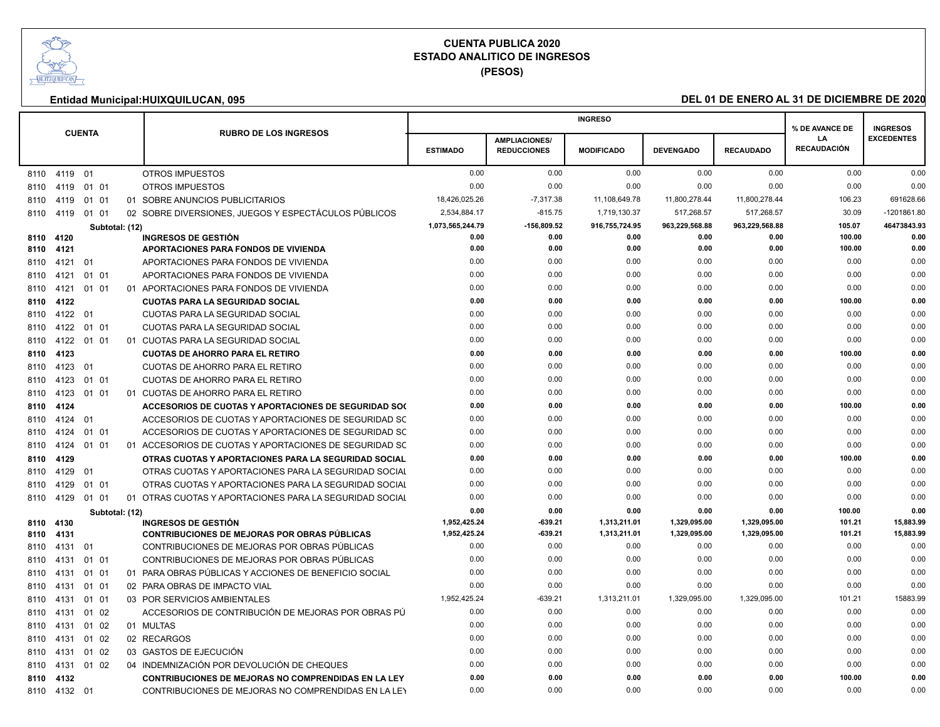

**(PESOS)**

|      |                 |               |                |  |                                                            |                  |                      | <b>INGRESO</b>    |                  |                  | % DE AVANCE DE     | <b>INGRESOS</b>   |
|------|-----------------|---------------|----------------|--|------------------------------------------------------------|------------------|----------------------|-------------------|------------------|------------------|--------------------|-------------------|
|      |                 | <b>CUENTA</b> |                |  | <b>RUBRO DE LOS INGRESOS</b>                               |                  | <b>AMPLIACIONES/</b> |                   |                  |                  | LA                 | <b>EXCEDENTES</b> |
|      |                 |               |                |  |                                                            | <b>ESTIMADO</b>  | <b>REDUCCIONES</b>   | <b>MODIFICADO</b> | <b>DEVENGADO</b> | <b>RECAUDADO</b> | <b>RECAUDACIÓN</b> |                   |
|      | 8110 4119 01    |               |                |  | <b>OTROS IMPUESTOS</b>                                     | 0.00             | 0.00                 | 0.00              | 0.00             | 0.00             | 0.00               | 0.00              |
| 8110 | 4119            | 01 01         |                |  | <b>OTROS IMPUESTOS</b>                                     | 0.00             | 0.00                 | 0.00              | 0.00             | 0.00             | 0.00               | 0.00              |
| 8110 | 4119            | 01 01         |                |  | 01 SOBRE ANUNCIOS PUBLICITARIOS                            | 18,426,025.26    | $-7,317.38$          | 11,108,649.78     | 11,800,278.44    | 11,800,278.44    | 106.23             | 691628.66         |
|      | 8110 4119 01 01 |               |                |  | 02 SOBRE DIVERSIONES, JUEGOS Y ESPECTÁCULOS PÚBLICOS       | 2,534,884.17     | $-815.75$            | 1,719,130.37      | 517,268.57       | 517,268.57       | 30.09              | -1201861.80       |
|      |                 |               | Subtotal: (12) |  |                                                            | 1,073,565,244.79 | -156,809.52          | 916,755,724.95    | 963,229,568.88   | 963,229,568.88   | 105.07             | 46473843.93       |
|      | 8110 4120       |               |                |  | <b>INGRESOS DE GESTIÓN</b>                                 | 0.00             | 0.00                 | 0.00              | 0.00             | 0.00             | 100.00             | 0.00              |
| 8110 | 4121            |               |                |  | <b>APORTACIONES PARA FONDOS DE VIVIENDA</b>                | 0.00             | 0.00                 | 0.00              | 0.00             | 0.00             | 100.00             | 0.00              |
| 8110 | 4121            | 01            |                |  | APORTACIONES PARA FONDOS DE VIVIENDA                       | 0.00             | 0.00                 | 0.00              | 0.00             | 0.00             | 0.00               | 0.00              |
| 8110 | 4121            | 01 01         |                |  | APORTACIONES PARA FONDOS DE VIVIENDA                       | 0.00             | 0.00                 | 0.00              | 0.00             | 0.00             | 0.00               | 0.00              |
| 8110 | 4121            | 01 01         |                |  | 01 APORTACIONES PARA FONDOS DE VIVIENDA                    | 0.00             | 0.00                 | 0.00              | 0.00             | 0.00             | 0.00               | 0.00              |
| 8110 | 4122            |               |                |  | <b>CUOTAS PARA LA SEGURIDAD SOCIAL</b>                     | 0.00             | 0.00                 | 0.00              | 0.00             | 0.00             | 100.00             | 0.00              |
| 8110 | 4122 01         |               |                |  | <b>CUOTAS PARA LA SEGURIDAD SOCIAL</b>                     | 0.00             | 0.00                 | 0.00              | 0.00             | 0.00             | 0.00               | 0.00              |
| 8110 | 4122            | 01 01         |                |  | CUOTAS PARA LA SEGURIDAD SOCIAL                            | 0.00             | 0.00                 | 0.00              | 0.00             | 0.00             | 0.00               | 0.00              |
| 8110 | 4122 01 01      |               |                |  | 01 CUOTAS PARA LA SEGURIDAD SOCIAL                         | 0.00             | 0.00                 | 0.00              | 0.00             | 0.00             | 0.00               | 0.00              |
| 8110 | 4123            |               |                |  | <b>CUOTAS DE AHORRO PARA EL RETIRO</b>                     | 0.00             | 0.00                 | 0.00              | 0.00             | 0.00             | 100.00             | 0.00              |
| 8110 | 4123            | 01            |                |  | CUOTAS DE AHORRO PARA EL RETIRO                            | 0.00             | 0.00                 | 0.00              | 0.00             | 0.00             | 0.00               | 0.00              |
| 8110 | 4123            | 01 01         |                |  | CUOTAS DE AHORRO PARA EL RETIRO                            | 0.00             | 0.00                 | 0.00              | 0.00             | 0.00             | 0.00               | 0.00              |
| 8110 | 4123            | 01 01         |                |  | 01 CUOTAS DE AHORRO PARA EL RETIRO                         | 0.00             | 0.00                 | 0.00              | 0.00             | 0.00             | 0.00               | 0.00              |
|      | 8110 4124       |               |                |  | ACCESORIOS DE CUOTAS Y APORTACIONES DE SEGURIDAD SO(       | 0.00             | 0.00                 | 0.00              | 0.00             | 0.00             | 100.00             | 0.00              |
| 8110 | 4124            | 01            |                |  | ACCESORIOS DE CUOTAS Y APORTACIONES DE SEGURIDAD SC        | 0.00             | 0.00                 | 0.00              | 0.00             | 0.00             | 0.00               | 0.00              |
| 8110 | 4124            | 01 01         |                |  | ACCESORIOS DE CUOTAS Y APORTACIONES DE SEGURIDAD SC        | 0.00             | 0.00                 | 0.00              | 0.00             | 0.00             | 0.00               | 0.00              |
| 8110 | 4124            | 01 01         |                |  | 01 ACCESORIOS DE CUOTAS Y APORTACIONES DE SEGURIDAD SC     | 0.00             | 0.00                 | 0.00              | 0.00             | 0.00             | 0.00               | 0.00              |
| 8110 | 4129            |               |                |  | OTRAS CUOTAS Y APORTACIONES PARA LA SEGURIDAD SOCIAL       | 0.00             | 0.00                 | 0.00              | 0.00             | 0.00             | 100.00             | 0.00              |
| 8110 | 4129            | 01            |                |  | OTRAS CUOTAS Y APORTACIONES PARA LA SEGURIDAD SOCIAL       | 0.00             | 0.00                 | 0.00              | 0.00             | 0.00             | 0.00               | 0.00              |
| 8110 | 4129            | 01 01         |                |  | OTRAS CUOTAS Y APORTACIONES PARA LA SEGURIDAD SOCIAL       | 0.00             | 0.00                 | 0.00              | 0.00             | 0.00             | 0.00               | 0.00              |
|      | 8110 4129       | 01 01         |                |  | 01 OTRAS CUOTAS Y APORTACIONES PARA LA SEGURIDAD SOCIAL    | 0.00             | 0.00                 | 0.00              | 0.00             | 0.00             | 0.00               | 0.00              |
|      |                 |               | Subtotal: (12) |  |                                                            | 0.00             | 0.00                 | 0.00              | 0.00             | 0.00             | 100.00             | 0.00              |
|      | 8110 4130       |               |                |  | <b>INGRESOS DE GESTIÓN</b>                                 | 1,952,425.24     | $-639.21$            | 1,313,211.01      | 1,329,095.00     | 1,329,095.00     | 101.21             | 15,883.99         |
| 8110 | 4131            |               |                |  | <b>CONTRIBUCIONES DE MEJORAS POR OBRAS PÚBLICAS</b>        | 1,952,425.24     | -639.21              | 1,313,211.01      | 1,329,095.00     | 1,329,095.00     | 101.21             | 15.883.99         |
| 8110 | 4131            | 01            |                |  | CONTRIBUCIONES DE MEJORAS POR OBRAS PÚBLICAS               | 0.00             | 0.00                 | 0.00              | 0.00             | 0.00             | 0.00               | 0.00              |
| 8110 | 4131            | 01 01         |                |  | CONTRIBUCIONES DE MEJORAS POR OBRAS PÚBLICAS               | 0.00             | 0.00                 | 0.00              | 0.00             | 0.00             | 0.00               | 0.00              |
| 8110 | 4131            | 01 01         |                |  | 01 PARA OBRAS PÚBLICAS Y ACCIONES DE BENEFICIO SOCIAL      | 0.00             | 0.00                 | 0.00              | 0.00             | 0.00             | 0.00               | 0.00              |
| 8110 | 4131            | 01 01         |                |  | 02 PARA OBRAS DE IMPACTO VIAL                              | 0.00             | 0.00                 | 0.00              | 0.00             | 0.00             | 0.00               | 0.00              |
| 8110 | 4131            | 01 01         |                |  | 03 POR SERVICIOS AMBIENTALES                               | 1,952,425.24     | $-639.21$            | 1,313,211.01      | 1,329,095.00     | 1,329,095.00     | 101.21             | 15883.99          |
| 8110 | 4131            | 01 02         |                |  | ACCESORIOS DE CONTRIBUCIÓN DE MEJORAS POR OBRAS PÚ         | 0.00             | 0.00                 | 0.00              | 0.00             | 0.00             | 0.00               | 0.00              |
| 8110 | 4131            | 01 02         |                |  | 01 MULTAS                                                  | 0.00             | 0.00                 | 0.00              | 0.00             | 0.00             | 0.00               | 0.00              |
| 8110 | 4131            | 01 02         |                |  | 02 RECARGOS                                                | 0.00             | 0.00                 | 0.00              | 0.00             | 0.00             | 0.00               | 0.00              |
| 8110 | 4131            | 01 02         |                |  | 03 GASTOS DE EJECUCIÓN                                     | 0.00             | 0.00                 | 0.00              | 0.00             | 0.00             | 0.00               | 0.00              |
| 8110 | 4131            | 01 02         |                |  | 04 INDEMNIZACIÓN POR DEVOLUCIÓN DE CHEQUES                 | 0.00             | 0.00                 | 0.00              | 0.00             | 0.00             | 0.00               | 0.00              |
|      | 8110 4132       |               |                |  | <b>CONTRIBUCIONES DE MEJORAS NO COMPRENDIDAS EN LA LEY</b> | 0.00             | 0.00                 | 0.00              | 0.00             | 0.00             | 100.00             | 0.00              |
|      | 8110 4132       | 01            |                |  | CONTRIBUCIONES DE MEJORAS NO COMPRENDIDAS EN LA LEY        | 0.00             | 0.00                 | 0.00              | 0.00             | 0.00             | 0.00               | 0.00              |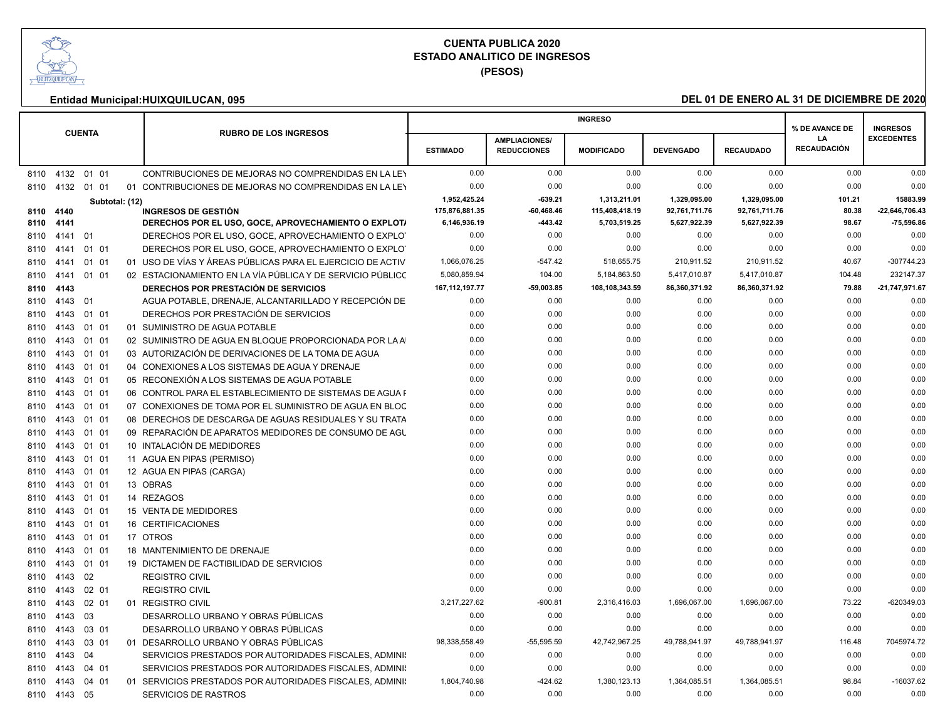

**(PESOS)**

|              |              |               |                |                                                                                                            |                      |                                            | <b>INGRESO</b>       |                      |                      | % DE AVANCE DE           | <b>INGRESOS</b>      |
|--------------|--------------|---------------|----------------|------------------------------------------------------------------------------------------------------------|----------------------|--------------------------------------------|----------------------|----------------------|----------------------|--------------------------|----------------------|
|              |              | <b>CUENTA</b> |                | <b>RUBRO DE LOS INGRESOS</b>                                                                               | <b>ESTIMADO</b>      | <b>AMPLIACIONES/</b><br><b>REDUCCIONES</b> | <b>MODIFICADO</b>    | <b>DEVENGADO</b>     | <b>RECAUDADO</b>     | LA<br><b>RECAUDACIÓN</b> | <b>EXCEDENTES</b>    |
|              |              |               |                |                                                                                                            |                      |                                            |                      |                      |                      |                          |                      |
| 8110         |              | 4132 01 01    |                | CONTRIBUCIONES DE MEJORAS NO COMPRENDIDAS EN LA LEY                                                        | 0.00                 | 0.00                                       | 0.00                 | 0.00                 | 0.00                 | 0.00                     | 0.00                 |
| 8110         | 4132         | 01 01         |                | 01 CONTRIBUCIONES DE MEJORAS NO COMPRENDIDAS EN LA LEY                                                     | 0.00                 | 0.00                                       | 0.00                 | 0.00                 | 0.00                 | 0.00                     | 0.00                 |
|              |              |               | Subtotal: (12) |                                                                                                            | 1,952,425.24         | $-639.21$                                  | 1,313,211.01         | 1,329,095.00         | 1,329,095.00         | 101.21                   | 15883.99             |
| 8110         | 4140         |               |                | <b>INGRESOS DE GESTIÓN</b>                                                                                 | 175.876.881.35       | $-60,468.46$                               | 115,408,418.19       | 92,761,711.76        | 92,761,711.76        | 80.38                    | -22,646,706.43       |
| 8110         | 4141         |               |                | DERECHOS POR EL USO, GOCE, APROVECHAMIENTO O EXPLOTA                                                       | 6,146,936.19<br>0.00 | -443.42<br>0.00                            | 5,703,519.25<br>0.00 | 5.627,922.39<br>0.00 | 5,627,922.39<br>0.00 | 98.67<br>0.00            | $-75,596.86$<br>0.00 |
| 8110<br>8110 | 4141<br>4141 | 01<br>01 01   |                | DERECHOS POR EL USO, GOCE, APROVECHAMIENTO O EXPLOT<br>DERECHOS POR EL USO, GOCE, APROVECHAMIENTO O EXPLOT | 0.00                 | 0.00                                       | 0.00                 | 0.00                 | 0.00                 | 0.00                     | 0.00                 |
| 8110         | 4141         | 01 01         |                | 01 USO DE VÍAS Y ÁREAS PÚBLICAS PARA EL EJERCICIO DE ACTIV                                                 | 1,066,076.25         | $-547.42$                                  | 518,655.75           | 210,911.52           | 210,911.52           | 40.67                    | $-307744.23$         |
| 8110         | 4141         | 01 01         |                | 02 ESTACIONAMIENTO EN LA VÍA PÚBLICA Y DE SERVICIO PÚBLICC                                                 | 5,080,859.94         | 104.00                                     | 5,184,863.50         | 5,417,010.87         | 5,417,010.87         | 104.48                   | 232147.37            |
| 8110         | 4143         |               |                | <b>DERECHOS POR PRESTACIÓN DE SERVICIOS</b>                                                                | 167, 112, 197. 77    | $-59,003.85$                               | 108,108,343.59       | 86,360,371.92        | 86,360,371.92        | 79.88                    | -21,747,971.67       |
| 8110         | 4143         | 01            |                | AGUA POTABLE, DRENAJE, ALCANTARILLADO Y RECEPCIÓN DE                                                       | 0.00                 | 0.00                                       | 0.00                 | 0.00                 | 0.00                 | 0.00                     | 0.00                 |
| 8110         | 4143         | 01 01         |                | DERECHOS POR PRESTACIÓN DE SERVICIOS                                                                       | 0.00                 | 0.00                                       | 0.00                 | 0.00                 | 0.00                 | 0.00                     | 0.00                 |
| 8110         | 4143         | 01 01         |                | 01 SUMINISTRO DE AGUA POTABLE                                                                              | 0.00                 | 0.00                                       | 0.00                 | 0.00                 | 0.00                 | 0.00                     | 0.00                 |
| 8110         | 4143         | 01 01         |                | 02 SUMINISTRO DE AGUA EN BLOQUE PROPORCIONADA POR LA A                                                     | 0.00                 | 0.00                                       | 0.00                 | 0.00                 | 0.00                 | 0.00                     | 0.00                 |
| 8110         | 4143         | 01 01         |                | 03 AUTORIZACIÓN DE DERIVACIONES DE LA TOMA DE AGUA                                                         | 0.00                 | 0.00                                       | 0.00                 | 0.00                 | 0.00                 | 0.00                     | 0.00                 |
| 8110         | 4143         | 01 01         |                | 04 CONEXIONES A LOS SISTEMAS DE AGUA Y DRENAJE                                                             | 0.00                 | 0.00                                       | 0.00                 | 0.00                 | 0.00                 | 0.00                     | 0.00                 |
| 8110         | 4143         | 01 01         |                | 05 RECONEXIÓN A LOS SISTEMAS DE AGUA POTABLE                                                               | 0.00                 | 0.00                                       | 0.00                 | 0.00                 | 0.00                 | 0.00                     | 0.00                 |
| 8110         | 4143         | 01 01         |                | 06 CONTROL PARA EL ESTABLECIMIENTO DE SISTEMAS DE AGUA F                                                   | 0.00                 | 0.00                                       | 0.00                 | 0.00                 | 0.00                 | 0.00                     | 0.00                 |
| 8110         | 4143         | 01 01         |                | 07 CONEXIONES DE TOMA POR EL SUMINISTRO DE AGUA EN BLOC                                                    | 0.00                 | 0.00                                       | 0.00                 | 0.00                 | 0.00                 | 0.00                     | 0.00                 |
| 8110         | 4143         | 01 01         |                | 08 DERECHOS DE DESCARGA DE AGUAS RESIDUALES Y SU TRATA                                                     | 0.00                 | 0.00                                       | 0.00                 | 0.00                 | 0.00                 | 0.00                     | 0.00                 |
| 8110         | 4143         | 01 01         |                | 09 REPARACIÓN DE APARATOS MEDIDORES DE CONSUMO DE AGU                                                      | 0.00                 | 0.00                                       | 0.00                 | 0.00                 | 0.00                 | 0.00                     | 0.00                 |
| 8110         | 4143         | 01 01         |                | 10 INTALACIÓN DE MEDIDORES                                                                                 | 0.00                 | 0.00                                       | 0.00                 | 0.00                 | 0.00                 | 0.00                     | 0.00                 |
| 8110         | 4143         | 01 01         |                | 11 AGUA EN PIPAS (PERMISO)                                                                                 | 0.00                 | 0.00                                       | 0.00                 | 0.00                 | 0.00                 | 0.00                     | 0.00                 |
| 8110         | 4143         | 01 01         |                | 12 AGUA EN PIPAS (CARGA)                                                                                   | 0.00                 | 0.00                                       | 0.00                 | 0.00                 | 0.00                 | 0.00                     | 0.00                 |
| 8110         | 4143         | 01 01         |                | 13 OBRAS                                                                                                   | 0.00                 | 0.00                                       | 0.00                 | 0.00                 | 0.00                 | 0.00                     | 0.00                 |
| 8110         | 4143         | 01 01         |                | 14 REZAGOS                                                                                                 | 0.00                 | 0.00                                       | 0.00                 | 0.00                 | 0.00                 | 0.00                     | 0.00                 |
| 8110         | 4143         | 01 01         |                | 15 VENTA DE MEDIDORES                                                                                      | 0.00                 | 0.00                                       | 0.00                 | 0.00                 | 0.00                 | 0.00                     | 0.00                 |
| 8110         | 4143         | 01 01         |                | 16 CERTIFICACIONES                                                                                         | 0.00                 | 0.00                                       | 0.00                 | 0.00                 | 0.00                 | 0.00                     | 0.00                 |
| 8110         | 4143         | 01 01         |                | 17 OTROS                                                                                                   | 0.00                 | 0.00                                       | 0.00                 | 0.00                 | 0.00                 | 0.00                     | 0.00                 |
| 8110         | 4143         | 01 01         |                | 18 MANTENIMIENTO DE DRENAJE                                                                                | 0.00                 | 0.00                                       | 0.00                 | 0.00                 | 0.00                 | 0.00                     | 0.00                 |
| 8110         | 4143         | 01 01         |                | 19 DICTAMEN DE FACTIBILIDAD DE SERVICIOS                                                                   | 0.00                 | 0.00                                       | 0.00                 | 0.00                 | 0.00                 | 0.00                     | 0.00                 |
| 8110         | 4143         | 02            |                | <b>REGISTRO CIVIL</b>                                                                                      | 0.00                 | 0.00                                       | 0.00                 | 0.00                 | 0.00                 | 0.00                     | 0.00                 |
| 8110         | 4143         | 02 01         |                | <b>REGISTRO CIVIL</b>                                                                                      | 0.00                 | 0.00                                       | 0.00                 | 0.00                 | 0.00                 | 0.00                     | 0.00                 |
| 8110         | 4143         | 02 01         |                | 01 REGISTRO CIVIL                                                                                          | 3,217,227.62         | $-900.81$                                  | 2,316,416.03         | 1,696,067.00         | 1,696,067.00         | 73.22                    | -620349.03           |
| 8110         | 4143         | 03            |                | DESARROLLO URBANO Y OBRAS PÚBLICAS                                                                         | 0.00                 | 0.00                                       | 0.00                 | 0.00                 | 0.00                 | 0.00                     | 0.00                 |
| 8110         | 4143         | 03 01         |                | DESARROLLO URBANO Y OBRAS PÚBLICAS                                                                         | 0.00                 | 0.00                                       | 0.00                 | 0.00                 | 0.00                 | 0.00                     | 0.00                 |
| 8110         | 4143         | 03 01         |                | 01 DESARROLLO URBANO Y OBRAS PÚBLICAS                                                                      | 98,338,558.49        | $-55,595.59$                               | 42,742,967.25        | 49,788,941.97        | 49,788,941.97        | 116.48                   | 7045974.72           |
| 8110         | 4143         | 04            |                | SERVICIOS PRESTADOS POR AUTORIDADES FISCALES. ADMINIS                                                      | 0.00                 | 0.00                                       | 0.00                 | 0.00                 | 0.00                 | 0.00                     | 0.00                 |
| 8110         | 4143         | 04 01         |                | SERVICIOS PRESTADOS POR AUTORIDADES FISCALES, ADMINIS                                                      | 0.00                 | 0.00                                       | 0.00                 | 0.00                 | 0.00                 | 0.00                     | 0.00                 |
| 8110         | 4143         | 04 01         |                | 01 SERVICIOS PRESTADOS POR AUTORIDADES FISCALES, ADMINIS                                                   | 1,804,740.98         | $-424.62$                                  | 1,380,123.13         | 1,364,085.51         | 1,364,085.51         | 98.84                    | $-16037.62$          |
|              | 8110 4143    | - 05          |                | <b>SERVICIOS DE RASTROS</b>                                                                                | 0.00                 | 0.00                                       | 0.00                 | 0.00                 | 0.00                 | 0.00                     | 0.00                 |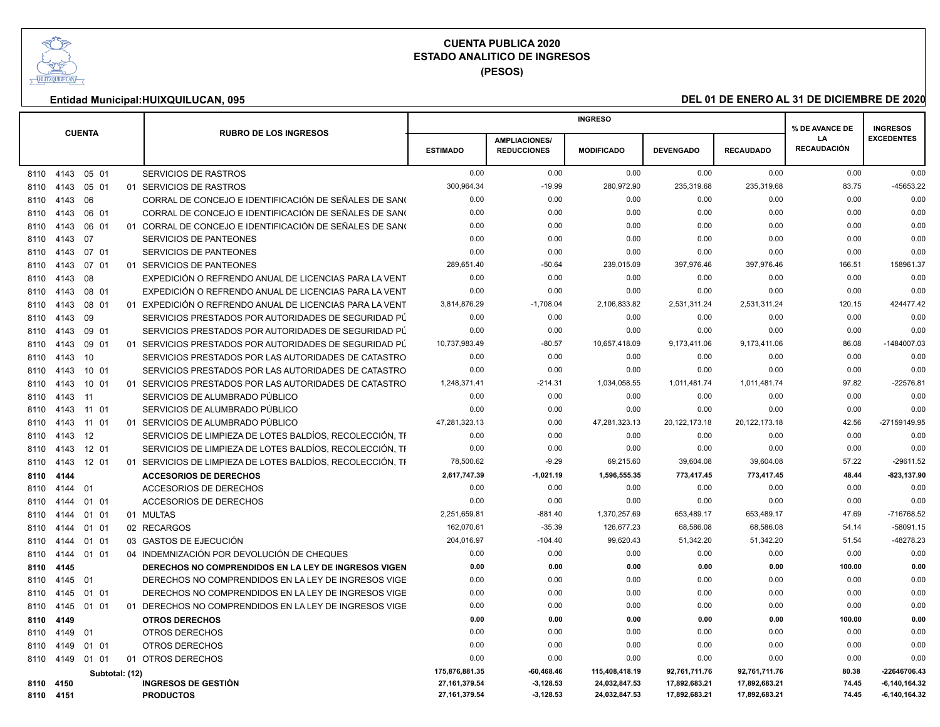

**(PESOS)**

|      | <b>CUENTA</b> |       |                |                                                            |                 |                      | <b>INGRESO</b>    |                  |                  | % DE AVANCE DE     | <b>INGRESOS</b>   |
|------|---------------|-------|----------------|------------------------------------------------------------|-----------------|----------------------|-------------------|------------------|------------------|--------------------|-------------------|
|      |               |       |                | <b>RUBRO DE LOS INGRESOS</b>                               |                 | <b>AMPLIACIONES/</b> |                   |                  |                  | LA                 | <b>EXCEDENTES</b> |
|      |               |       |                |                                                            | <b>ESTIMADO</b> | <b>REDUCCIONES</b>   | <b>MODIFICADO</b> | <b>DEVENGADO</b> | <b>RECAUDADO</b> | <b>RECAUDACIÓN</b> |                   |
| 8110 | 4143          | 05 01 |                | SERVICIOS DE RASTROS                                       | 0.00            | 0.00                 | 0.00              | 0.00             | 0.00             | 0.00               | 0.00              |
| 8110 | 4143          | 05 01 |                | 01 SERVICIOS DE RASTROS                                    | 300,964.34      | $-19.99$             | 280,972.90        | 235,319.68       | 235,319.68       | 83.75              | -45653.22         |
| 8110 | 4143          | 06    |                | CORRAL DE CONCEJO E IDENTIFICACIÓN DE SEÑALES DE SANO      | 0.00            | 0.00                 | 0.00              | 0.00             | 0.00             | 0.00               | 0.00              |
| 8110 | 4143          | 06 01 |                | CORRAL DE CONCEJO E IDENTIFICACIÓN DE SEÑALES DE SANO      | 0.00            | 0.00                 | 0.00              | 0.00             | 0.00             | 0.00               | 0.00              |
| 8110 | 4143          | 06 01 |                | 01 CORRAL DE CONCEJO E IDENTIFICACIÓN DE SEÑALES DE SANO   | 0.00            | 0.00                 | 0.00              | 0.00             | 0.00             | 0.00               | 0.00              |
| 8110 | 4143          | 07    |                | SERVICIOS DE PANTEONES                                     | 0.00            | 0.00                 | 0.00              | 0.00             | 0.00             | 0.00               | 0.00              |
| 8110 | 4143          | 07 01 |                | SERVICIOS DE PANTEONES                                     | 0.00            | 0.00                 | 0.00              | 0.00             | 0.00             | 0.00               | 0.00              |
| 8110 | 4143          | 07 01 |                | 01 SERVICIOS DE PANTEONES                                  | 289,651.40      | $-50.64$             | 239,015.09        | 397,976.46       | 397,976.46       | 166.51             | 158961.37         |
| 8110 | 4143          | 08    |                | EXPEDICIÓN O REFRENDO ANUAL DE LICENCIAS PARA LA VENT      | 0.00            | 0.00                 | 0.00              | 0.00             | 0.00             | 0.00               | 0.00              |
| 8110 | 4143          | 08 01 |                | EXPEDICIÓN O REFRENDO ANUAL DE LICENCIAS PARA LA VENT      | 0.00            | 0.00                 | 0.00              | 0.00             | 0.00             | 0.00               | 0.00              |
| 8110 | 4143          | 08 01 |                | 01 EXPEDICIÓN O REFRENDO ANUAL DE LICENCIAS PARA LA VENT   | 3,814,876.29    | $-1,708.04$          | 2,106,833.82      | 2,531,311.24     | 2,531,311.24     | 120.15             | 424477.42         |
| 8110 | 4143          | 09    |                | SERVICIOS PRESTADOS POR AUTORIDADES DE SEGURIDAD PÚ        | 0.00            | 0.00                 | 0.00              | 0.00             | 0.00             | 0.00               | 0.00              |
| 8110 | 4143          | 09 01 |                | SERVICIOS PRESTADOS POR AUTORIDADES DE SEGURIDAD PÚ        | 0.00            | 0.00                 | 0.00              | 0.00             | 0.00             | 0.00               | 0.00              |
| 8110 | 4143          | 09 01 |                | 01 SERVICIOS PRESTADOS POR AUTORIDADES DE SEGURIDAD PÚ     | 10,737,983.49   | $-80.57$             | 10,657,418.09     | 9,173,411.06     | 9,173,411.06     | 86.08              | -1484007.03       |
| 8110 | 4143          | 10    |                | SERVICIOS PRESTADOS POR LAS AUTORIDADES DE CATASTRO        | 0.00            | 0.00                 | 0.00              | 0.00             | 0.00             | 0.00               | 0.00              |
| 8110 | 4143          | 10 01 |                | SERVICIOS PRESTADOS POR LAS AUTORIDADES DE CATASTRO        | 0.00            | 0.00                 | 0.00              | 0.00             | 0.00             | 0.00               | 0.00              |
| 8110 | 4143          | 10 01 |                | 01 SERVICIOS PRESTADOS POR LAS AUTORIDADES DE CATASTRO     | 1,248,371.41    | $-214.31$            | 1,034,058.55      | 1,011,481.74     | 1,011,481.74     | 97.82              | $-22576.81$       |
| 8110 | 4143          | 11    |                | SERVICIOS DE ALUMBRADO PÚBLICO                             | 0.00            | 0.00                 | 0.00              | 0.00             | 0.00             | 0.00               | 0.00              |
| 8110 | 4143          | 11 01 |                | SERVICIOS DE ALUMBRADO PÚBLICO                             | 0.00            | 0.00                 | 0.00              | 0.00             | 0.00             | 0.00               | 0.00              |
| 8110 | 4143          | 11 01 |                | 01 SERVICIOS DE ALUMBRADO PÚBLICO                          | 47,281,323.13   | 0.00                 | 47,281,323.13     | 20, 122, 173. 18 | 20, 122, 173. 18 | 42.56              | -27159149.95      |
| 8110 | 4143          | 12    |                | SERVICIOS DE LIMPIEZA DE LOTES BALDÍOS, RECOLECCIÓN, TI    | 0.00            | 0.00                 | 0.00              | 0.00             | 0.00             | 0.00               | 0.00              |
| 8110 | 4143          | 12 01 |                | SERVICIOS DE LIMPIEZA DE LOTES BALDÍOS, RECOLECCIÓN, TI    | 0.00            | 0.00                 | 0.00              | 0.00             | 0.00             | 0.00               | 0.00              |
| 8110 | 4143          | 12 01 |                | 01 SERVICIOS DE LIMPIEZA DE LOTES BALDÍOS, RECOLECCIÓN, TI | 78,500.62       | $-9.29$              | 69,215.60         | 39,604.08        | 39,604.08        | 57.22              | $-29611.52$       |
| 8110 | 4144          |       |                | <b>ACCESORIOS DE DERECHOS</b>                              | 2,617,747.39    | $-1,021.19$          | 1,596,555.35      | 773,417.45       | 773,417.45       | 48.44              | -823,137.90       |
| 8110 | 4144          | 01    |                | <b>ACCESORIOS DE DERECHOS</b>                              | 0.00            | 0.00                 | 0.00              | 0.00             | 0.00             | 0.00               | 0.00              |
| 8110 | 4144          | 01 01 |                | <b>ACCESORIOS DE DERECHOS</b>                              | 0.00            | 0.00                 | 0.00              | 0.00             | 0.00             | 0.00               | 0.00              |
| 8110 | 4144          | 01 01 |                | 01 MULTAS                                                  | 2,251,659.81    | $-881.40$            | 1,370,257.69      | 653,489.17       | 653,489.17       | 47.69              | -716768.52        |
| 8110 | 4144          | 01 01 |                | 02 RECARGOS                                                | 162,070.61      | $-35.39$             | 126,677.23        | 68,586.08        | 68,586.08        | 54.14              | $-58091.15$       |
| 8110 | 4144          | 01 01 |                | 03 GASTOS DE EJECUCIÓN                                     | 204,016.97      | $-104.40$            | 99,620.43         | 51,342.20        | 51,342.20        | 51.54              | -48278.23         |
| 8110 | 4144          | 01 01 |                | 04 INDEMNIZACIÓN POR DEVOLUCIÓN DE CHEQUES                 | 0.00            | 0.00                 | 0.00              | 0.00             | 0.00             | 0.00               | 0.00              |
| 8110 | 4145          |       |                | DERECHOS NO COMPRENDIDOS EN LA LEY DE INGRESOS VIGEN       | 0.00            | 0.00                 | 0.00              | 0.00             | 0.00             | 100.00             | 0.00              |
| 8110 | 4145          | 01    |                | DERECHOS NO COMPRENDIDOS EN LA LEY DE INGRESOS VIGE        | 0.00            | 0.00                 | 0.00              | 0.00             | 0.00             | 0.00               | 0.00              |
| 8110 | 4145          | 01 01 |                | DERECHOS NO COMPRENDIDOS EN LA LEY DE INGRESOS VIGE        | 0.00            | 0.00                 | 0.00              | 0.00             | 0.00             | 0.00               | 0.00              |
| 8110 | 4145          | 01 01 |                | 01 DERECHOS NO COMPRENDIDOS EN LA LEY DE INGRESOS VIGE     | 0.00            | 0.00                 | 0.00              | 0.00             | 0.00             | 0.00               | 0.00              |
| 8110 | 4149          |       |                | <b>OTROS DERECHOS</b>                                      | 0.00            | 0.00                 | 0.00              | 0.00             | 0.00             | 100.00             | 0.00              |
| 8110 | 4149          | 01    |                | OTROS DERECHOS                                             | 0.00            | 0.00                 | 0.00              | 0.00             | 0.00             | 0.00               | 0.00              |
| 8110 | 4149          | 01 01 |                | <b>OTROS DERECHOS</b>                                      | 0.00            | 0.00                 | 0.00              | 0.00             | 0.00             | 0.00               | 0.00              |
| 8110 | 4149          | 01 01 |                | 01 OTROS DERECHOS                                          | 0.00            | 0.00                 | 0.00              | 0.00             | 0.00             | 0.00               | 0.00              |
|      |               |       | Subtotal: (12) |                                                            | 175,876,881.35  | $-60,468.46$         | 115,408,418.19    | 92,761,711.76    | 92,761,711.76    | 80.38              | -22646706.43      |
|      | 8110 4150     |       |                | <b>INGRESOS DE GESTIÓN</b>                                 | 27, 161, 379.54 | $-3,128.53$          | 24,032,847.53     | 17,892,683.21    | 17,892,683.21    | 74.45              | $-6,140,164.32$   |
|      | 8110 4151     |       |                | <b>PRODUCTOS</b>                                           | 27, 161, 379.54 | $-3,128.53$          | 24,032,847.53     | 17,892,683.21    | 17,892,683.21    | 74.45              | $-6,140,164.32$   |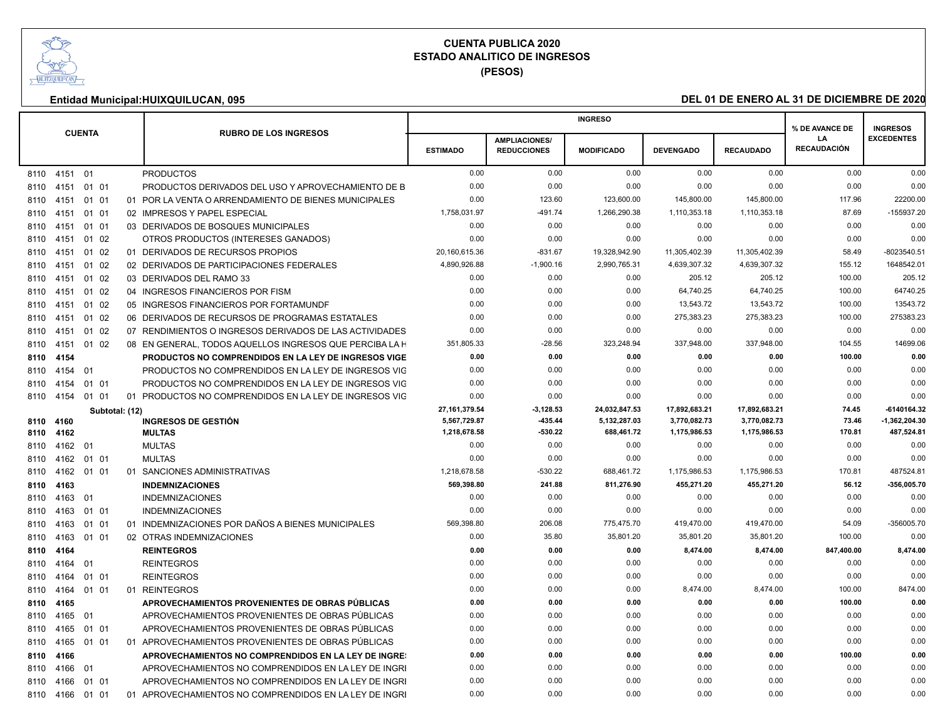

**(PESOS)**

| <b>CUENTA</b><br><b>RUBRO DE LOS INGRESOS</b><br><b>EXCEDENTES</b><br>LA<br><b>AMPLIACIONES/</b><br><b>RECAUDACIÓN</b><br><b>ESTIMADO</b><br><b>REDUCCIONES</b><br><b>MODIFICADO</b><br><b>DEVENGADO</b><br><b>RECAUDADO</b><br><b>PRODUCTOS</b><br>0.00<br>0.00<br>0.00<br>0.00<br>0.00<br>0.00<br>0.00<br>8110 4151 01<br>0.00<br>0.00<br>0.00<br>0.00<br>0.00<br>0.00<br>0.00<br>8110 4151 01 01<br>PRODUCTOS DERIVADOS DEL USO Y APROVECHAMIENTO DE B<br>01 01<br>01 POR LA VENTA O ARRENDAMIENTO DE BIENES MUNICIPALES<br>0.00<br>123.60<br>123,600.00<br>145,800.00<br>145,800.00<br>117.96<br>22200.00<br>8110 4151<br>1,266,290.38<br>$-155937.20$<br>1,758,031.97<br>$-491.74$<br>1,110,353.18<br>1,110,353.18<br>87.69<br>02 IMPRESOS Y PAPEL ESPECIAL<br>01 01<br>8110 4151<br>0.00<br>0.00<br>0.00<br>03 DERIVADOS DE BOSQUES MUNICIPALES<br>0.00<br>0.00<br>0.00<br>0.00<br>8110 4151<br>01 01<br>0.00<br>0.00<br>0.00<br>0.00<br>0.00<br>01 02<br>OTROS PRODUCTOS (INTERESES GANADOS)<br>0.00<br>0.00<br>8110 4151<br>20,160,615.36<br>$-831.67$<br>19.328.942.90<br>11,305,402.39<br>11,305,402.39<br>58.49<br>-8023540.51<br>01 DERIVADOS DE RECURSOS PROPIOS<br>01 02<br>8110 4151<br>4,890,926.88<br>$-1,900.16$<br>2,990,765.31<br>4,639,307.32<br>4.639.307.32<br>155.12<br>1648542.01<br>02 DERIVADOS DE PARTICIPACIONES FEDERALES<br>01 02<br>8110 4151<br>205.12<br>205.12<br>205.12<br>01 02<br>03 DERIVADOS DEL RAMO 33<br>0.00<br>0.00<br>0.00<br>100.00<br>8110 4151<br>0.00<br>0.00<br>0.00<br>64,740.25<br>64,740.25<br>100.00<br>64740.25<br>04 INGRESOS FINANCIEROS POR FISM<br>01 02<br>8110 4151<br>13,543.72<br>13543.72<br>01 02<br>05 INGRESOS FINANCIEROS POR FORTAMUNDE<br>0.00<br>0.00<br>0.00<br>13,543.72<br>100.00<br>8110 4151<br>275,383.23<br>275383.23<br>0.00<br>0.00<br>0.00<br>275,383.23<br>100.00<br>01 02<br>06 DERIVADOS DE RECURSOS DE PROGRAMAS ESTATALES<br>8110 4151<br>0.00<br>0.00<br>0.00<br>0.00<br>0.00<br>01 02<br>07 RENDIMIENTOS O INGRESOS DERIVADOS DE LAS ACTIVIDADES<br>0.00<br>0.00<br>8110 4151<br>351,805.33<br>$-28.56$<br>323,248.94<br>337,948.00<br>337,948.00<br>104.55<br>14699.06<br>01 02<br>08 EN GENERAL. TODOS AQUELLOS INGRESOS QUE PERCIBA LA F<br>8110 4151<br>100.00<br>0.00<br>PRODUCTOS NO COMPRENDIDOS EN LA LEY DE INGRESOS VIGE<br>0.00<br>0.00<br>0.00<br>0.00<br>0.00<br>8110 4154<br>01<br>PRODUCTOS NO COMPRENDIDOS EN LA LEY DE INGRESOS VIG<br>0.00<br>0.00<br>0.00<br>0.00<br>0.00<br>0.00<br>0.00<br>8110 4154<br>0.00<br>0.00<br>0.00<br>PRODUCTOS NO COMPRENDIDOS EN LA LEY DE INGRESOS VIG<br>0.00<br>0.00<br>0.00<br>0.00<br>8110 4154<br>01 01<br>0.00<br>0.00<br>01 PRODUCTOS NO COMPRENDIDOS EN LA LEY DE INGRESOS VIG<br>0.00<br>0.00<br>0.00<br>0.00<br>0.00<br>01 01<br>8110 4154<br>27, 161, 379.54<br>$-3,128.53$<br>24,032,847.53<br>17,892,683.21<br>17,892,683.21<br>74.45<br>-6140164.32<br>Subtotal: (12)<br>5,567,729.87<br>435.44<br>5,132,287.03<br>3,770,082.73<br>73.46<br>$-1,362,204.30$<br><b>INGRESOS DE GESTIÓN</b><br>3,770,082.73<br>8110 4160<br>8110 4162<br><b>MULTAS</b><br>1,218,678.58<br>-530.22<br>688,461.72<br>1,175,986.53<br>1,175,986.53<br>170.81<br>487,524.81<br><b>MULTAS</b><br>0.00<br>0.00<br>0.00<br>0.00<br>0.00<br>0.00<br>0.00<br>8110 4162<br>-01<br><b>MULTAS</b><br>0.00<br>0.00<br>0.00<br>0.00<br>0.00<br>0.00<br>0.00<br>01 01<br>8110 4162<br>1,218,678.58<br>$-530.22$<br>1,175,986.53<br>1,175,986.53<br>170.81<br>487524.81<br>01 01<br>01 SANCIONES ADMINISTRATIVAS<br>688,461.72<br>8110 4162<br>811,276.90<br>455,271.20<br>455,271.20<br>56.12<br>-356,005.70<br><b>INDEMNIZACIONES</b><br>569,398.80<br>241.88<br>8110 4163<br>0.00<br>0.00<br>0.00<br>0.00<br>0.00<br>0.00<br><b>INDEMNIZACIONES</b><br>0.00<br>8110 4163<br>- 01<br>0.00<br>0.00<br>0.00<br>0.00<br><b>INDEMNIZACIONES</b><br>0.00<br>0.00<br>0.00<br>01 01<br>8110 4163<br>01 INDEMNIZACIONES POR DAÑOS A BIENES MUNICIPALES<br>569,398.80<br>206.08<br>775,475.70<br>419,470.00<br>419,470.00<br>54.09<br>-356005.70<br>8110 4163<br>01 01<br>02 OTRAS INDEMNIZACIONES<br>35.80<br>35.801.20<br>35.801.20<br>35.801.20<br>100.00<br>0.00<br>01 01<br>0.00<br>8110 4163<br><b>REINTEGROS</b><br>8.474.00<br>847,400.00<br>8,474.00<br>8110 4164<br>0.00<br>0.00<br>0.00<br>8,474.00<br>8110 4164<br><b>REINTEGROS</b><br>0.00<br>0.00<br>0.00<br>0.00<br>0.00<br>0.00<br>0.00<br>01<br>0.00<br>0.00<br>0.00<br>0.00<br>0.00<br>0.00<br>0.00<br>01 01<br><b>REINTEGROS</b><br>8110 4164<br>0.00<br>0.00<br>0.00<br>8,474.00<br>8,474.00<br>100.00<br>8474.00<br>8110 4164<br>01 01<br>01 REINTEGROS<br>APROVECHAMIENTOS PROVENIENTES DE OBRAS PÚBLICAS<br>0.00<br>0.00<br>0.00<br>0.00<br>0.00<br>100.00<br>0.00<br>8110 4165<br>0.00<br>0.00<br>0.00<br>0.00<br>0.00<br>0.00<br>0.00<br>APROVECHAMIENTOS PROVENIENTES DE OBRAS PÚBLICAS<br>8110 4165<br>01<br>01 01<br>APROVECHAMIENTOS PROVENIENTES DE OBRAS PÚBLICAS<br>0.00<br>0.00<br>0.00<br>0.00<br>0.00<br>0.00<br>0.00<br>8110 4165<br>0.00<br>0.00<br>0.00<br>01 APROVECHAMIENTOS PROVENIENTES DE OBRAS PÚBLICAS<br>0.00<br>0.00<br>0.00<br>0.00<br>8110 4165<br>01 01<br>0.00<br>0.00<br>100.00<br>0.00<br>0.00<br>0.00<br>0.00<br>8110 4166<br>APROVECHAMIENTOS NO COMPRENDIDOS EN LA LEY DE INGRES<br>0.00<br>0.00<br>0.00<br>0.00<br>APROVECHAMIENTOS NO COMPRENDIDOS EN LA LEY DE INGRI<br>0.00<br>0.00<br>0.00<br>8110 4166<br>01<br>0.00<br>01 01<br>APROVECHAMIENTOS NO COMPRENDIDOS EN LA LEY DE INGRI<br>0.00<br>0.00<br>0.00<br>0.00<br>0.00<br>0.00<br>8110 4166<br>0.00<br>0.00<br>0.00<br>0.00<br>0.00<br>0.00<br>0.00<br>01 APROVECHAMIENTOS NO COMPRENDIDOS EN LA LEY DE INGRI<br>8110 4166<br>01 01 |  |  |  | <b>INGRESO</b> |  | % DE AVANCE DE | <b>INGRESOS</b> |
|--------------------------------------------------------------------------------------------------------------------------------------------------------------------------------------------------------------------------------------------------------------------------------------------------------------------------------------------------------------------------------------------------------------------------------------------------------------------------------------------------------------------------------------------------------------------------------------------------------------------------------------------------------------------------------------------------------------------------------------------------------------------------------------------------------------------------------------------------------------------------------------------------------------------------------------------------------------------------------------------------------------------------------------------------------------------------------------------------------------------------------------------------------------------------------------------------------------------------------------------------------------------------------------------------------------------------------------------------------------------------------------------------------------------------------------------------------------------------------------------------------------------------------------------------------------------------------------------------------------------------------------------------------------------------------------------------------------------------------------------------------------------------------------------------------------------------------------------------------------------------------------------------------------------------------------------------------------------------------------------------------------------------------------------------------------------------------------------------------------------------------------------------------------------------------------------------------------------------------------------------------------------------------------------------------------------------------------------------------------------------------------------------------------------------------------------------------------------------------------------------------------------------------------------------------------------------------------------------------------------------------------------------------------------------------------------------------------------------------------------------------------------------------------------------------------------------------------------------------------------------------------------------------------------------------------------------------------------------------------------------------------------------------------------------------------------------------------------------------------------------------------------------------------------------------------------------------------------------------------------------------------------------------------------------------------------------------------------------------------------------------------------------------------------------------------------------------------------------------------------------------------------------------------------------------------------------------------------------------------------------------------------------------------------------------------------------------------------------------------------------------------------------------------------------------------------------------------------------------------------------------------------------------------------------------------------------------------------------------------------------------------------------------------------------------------------------------------------------------------------------------------------------------------------------------------------------------------------------------------------------------------------------------------------------------------------------------------------------------------------------------------------------------------------------------------------------------------------------------------------------------------------------------------------------------------------------------------------------------------------------------------------------------------------------------------------------------------------------------------------------------------------------------------------------------------------------------------------------------------------------------------------------------------------------------------------------------------------------------------------------------------------------------------------------------------------------------------------------------------------------------------------------------------------------------------------------------------------------------------------------------------------------------------------------------------------------------------------------------------------------------------------------------------------------------------------------------------------------------------------------------------------------------------------------------------------------------------------------------------------------------------------------------------------------------------------------------------------------|--|--|--|----------------|--|----------------|-----------------|
|                                                                                                                                                                                                                                                                                                                                                                                                                                                                                                                                                                                                                                                                                                                                                                                                                                                                                                                                                                                                                                                                                                                                                                                                                                                                                                                                                                                                                                                                                                                                                                                                                                                                                                                                                                                                                                                                                                                                                                                                                                                                                                                                                                                                                                                                                                                                                                                                                                                                                                                                                                                                                                                                                                                                                                                                                                                                                                                                                                                                                                                                                                                                                                                                                                                                                                                                                                                                                                                                                                                                                                                                                                                                                                                                                                                                                                                                                                                                                                                                                                                                                                                                                                                                                                                                                                                                                                                                                                                                                                                                                                                                                                                                                                                                                                                                                                                                                                                                                                                                                                                                                                                                                                                                                                                                                                                                                                                                                                                                                                                                                                                                                                                                                                                          |  |  |  |                |  |                |                 |
|                                                                                                                                                                                                                                                                                                                                                                                                                                                                                                                                                                                                                                                                                                                                                                                                                                                                                                                                                                                                                                                                                                                                                                                                                                                                                                                                                                                                                                                                                                                                                                                                                                                                                                                                                                                                                                                                                                                                                                                                                                                                                                                                                                                                                                                                                                                                                                                                                                                                                                                                                                                                                                                                                                                                                                                                                                                                                                                                                                                                                                                                                                                                                                                                                                                                                                                                                                                                                                                                                                                                                                                                                                                                                                                                                                                                                                                                                                                                                                                                                                                                                                                                                                                                                                                                                                                                                                                                                                                                                                                                                                                                                                                                                                                                                                                                                                                                                                                                                                                                                                                                                                                                                                                                                                                                                                                                                                                                                                                                                                                                                                                                                                                                                                                          |  |  |  |                |  |                |                 |
|                                                                                                                                                                                                                                                                                                                                                                                                                                                                                                                                                                                                                                                                                                                                                                                                                                                                                                                                                                                                                                                                                                                                                                                                                                                                                                                                                                                                                                                                                                                                                                                                                                                                                                                                                                                                                                                                                                                                                                                                                                                                                                                                                                                                                                                                                                                                                                                                                                                                                                                                                                                                                                                                                                                                                                                                                                                                                                                                                                                                                                                                                                                                                                                                                                                                                                                                                                                                                                                                                                                                                                                                                                                                                                                                                                                                                                                                                                                                                                                                                                                                                                                                                                                                                                                                                                                                                                                                                                                                                                                                                                                                                                                                                                                                                                                                                                                                                                                                                                                                                                                                                                                                                                                                                                                                                                                                                                                                                                                                                                                                                                                                                                                                                                                          |  |  |  |                |  |                |                 |
|                                                                                                                                                                                                                                                                                                                                                                                                                                                                                                                                                                                                                                                                                                                                                                                                                                                                                                                                                                                                                                                                                                                                                                                                                                                                                                                                                                                                                                                                                                                                                                                                                                                                                                                                                                                                                                                                                                                                                                                                                                                                                                                                                                                                                                                                                                                                                                                                                                                                                                                                                                                                                                                                                                                                                                                                                                                                                                                                                                                                                                                                                                                                                                                                                                                                                                                                                                                                                                                                                                                                                                                                                                                                                                                                                                                                                                                                                                                                                                                                                                                                                                                                                                                                                                                                                                                                                                                                                                                                                                                                                                                                                                                                                                                                                                                                                                                                                                                                                                                                                                                                                                                                                                                                                                                                                                                                                                                                                                                                                                                                                                                                                                                                                                                          |  |  |  |                |  |                |                 |
|                                                                                                                                                                                                                                                                                                                                                                                                                                                                                                                                                                                                                                                                                                                                                                                                                                                                                                                                                                                                                                                                                                                                                                                                                                                                                                                                                                                                                                                                                                                                                                                                                                                                                                                                                                                                                                                                                                                                                                                                                                                                                                                                                                                                                                                                                                                                                                                                                                                                                                                                                                                                                                                                                                                                                                                                                                                                                                                                                                                                                                                                                                                                                                                                                                                                                                                                                                                                                                                                                                                                                                                                                                                                                                                                                                                                                                                                                                                                                                                                                                                                                                                                                                                                                                                                                                                                                                                                                                                                                                                                                                                                                                                                                                                                                                                                                                                                                                                                                                                                                                                                                                                                                                                                                                                                                                                                                                                                                                                                                                                                                                                                                                                                                                                          |  |  |  |                |  |                |                 |
|                                                                                                                                                                                                                                                                                                                                                                                                                                                                                                                                                                                                                                                                                                                                                                                                                                                                                                                                                                                                                                                                                                                                                                                                                                                                                                                                                                                                                                                                                                                                                                                                                                                                                                                                                                                                                                                                                                                                                                                                                                                                                                                                                                                                                                                                                                                                                                                                                                                                                                                                                                                                                                                                                                                                                                                                                                                                                                                                                                                                                                                                                                                                                                                                                                                                                                                                                                                                                                                                                                                                                                                                                                                                                                                                                                                                                                                                                                                                                                                                                                                                                                                                                                                                                                                                                                                                                                                                                                                                                                                                                                                                                                                                                                                                                                                                                                                                                                                                                                                                                                                                                                                                                                                                                                                                                                                                                                                                                                                                                                                                                                                                                                                                                                                          |  |  |  |                |  |                |                 |
|                                                                                                                                                                                                                                                                                                                                                                                                                                                                                                                                                                                                                                                                                                                                                                                                                                                                                                                                                                                                                                                                                                                                                                                                                                                                                                                                                                                                                                                                                                                                                                                                                                                                                                                                                                                                                                                                                                                                                                                                                                                                                                                                                                                                                                                                                                                                                                                                                                                                                                                                                                                                                                                                                                                                                                                                                                                                                                                                                                                                                                                                                                                                                                                                                                                                                                                                                                                                                                                                                                                                                                                                                                                                                                                                                                                                                                                                                                                                                                                                                                                                                                                                                                                                                                                                                                                                                                                                                                                                                                                                                                                                                                                                                                                                                                                                                                                                                                                                                                                                                                                                                                                                                                                                                                                                                                                                                                                                                                                                                                                                                                                                                                                                                                                          |  |  |  |                |  |                |                 |
|                                                                                                                                                                                                                                                                                                                                                                                                                                                                                                                                                                                                                                                                                                                                                                                                                                                                                                                                                                                                                                                                                                                                                                                                                                                                                                                                                                                                                                                                                                                                                                                                                                                                                                                                                                                                                                                                                                                                                                                                                                                                                                                                                                                                                                                                                                                                                                                                                                                                                                                                                                                                                                                                                                                                                                                                                                                                                                                                                                                                                                                                                                                                                                                                                                                                                                                                                                                                                                                                                                                                                                                                                                                                                                                                                                                                                                                                                                                                                                                                                                                                                                                                                                                                                                                                                                                                                                                                                                                                                                                                                                                                                                                                                                                                                                                                                                                                                                                                                                                                                                                                                                                                                                                                                                                                                                                                                                                                                                                                                                                                                                                                                                                                                                                          |  |  |  |                |  |                |                 |
|                                                                                                                                                                                                                                                                                                                                                                                                                                                                                                                                                                                                                                                                                                                                                                                                                                                                                                                                                                                                                                                                                                                                                                                                                                                                                                                                                                                                                                                                                                                                                                                                                                                                                                                                                                                                                                                                                                                                                                                                                                                                                                                                                                                                                                                                                                                                                                                                                                                                                                                                                                                                                                                                                                                                                                                                                                                                                                                                                                                                                                                                                                                                                                                                                                                                                                                                                                                                                                                                                                                                                                                                                                                                                                                                                                                                                                                                                                                                                                                                                                                                                                                                                                                                                                                                                                                                                                                                                                                                                                                                                                                                                                                                                                                                                                                                                                                                                                                                                                                                                                                                                                                                                                                                                                                                                                                                                                                                                                                                                                                                                                                                                                                                                                                          |  |  |  |                |  |                |                 |
|                                                                                                                                                                                                                                                                                                                                                                                                                                                                                                                                                                                                                                                                                                                                                                                                                                                                                                                                                                                                                                                                                                                                                                                                                                                                                                                                                                                                                                                                                                                                                                                                                                                                                                                                                                                                                                                                                                                                                                                                                                                                                                                                                                                                                                                                                                                                                                                                                                                                                                                                                                                                                                                                                                                                                                                                                                                                                                                                                                                                                                                                                                                                                                                                                                                                                                                                                                                                                                                                                                                                                                                                                                                                                                                                                                                                                                                                                                                                                                                                                                                                                                                                                                                                                                                                                                                                                                                                                                                                                                                                                                                                                                                                                                                                                                                                                                                                                                                                                                                                                                                                                                                                                                                                                                                                                                                                                                                                                                                                                                                                                                                                                                                                                                                          |  |  |  |                |  |                |                 |
|                                                                                                                                                                                                                                                                                                                                                                                                                                                                                                                                                                                                                                                                                                                                                                                                                                                                                                                                                                                                                                                                                                                                                                                                                                                                                                                                                                                                                                                                                                                                                                                                                                                                                                                                                                                                                                                                                                                                                                                                                                                                                                                                                                                                                                                                                                                                                                                                                                                                                                                                                                                                                                                                                                                                                                                                                                                                                                                                                                                                                                                                                                                                                                                                                                                                                                                                                                                                                                                                                                                                                                                                                                                                                                                                                                                                                                                                                                                                                                                                                                                                                                                                                                                                                                                                                                                                                                                                                                                                                                                                                                                                                                                                                                                                                                                                                                                                                                                                                                                                                                                                                                                                                                                                                                                                                                                                                                                                                                                                                                                                                                                                                                                                                                                          |  |  |  |                |  |                |                 |
|                                                                                                                                                                                                                                                                                                                                                                                                                                                                                                                                                                                                                                                                                                                                                                                                                                                                                                                                                                                                                                                                                                                                                                                                                                                                                                                                                                                                                                                                                                                                                                                                                                                                                                                                                                                                                                                                                                                                                                                                                                                                                                                                                                                                                                                                                                                                                                                                                                                                                                                                                                                                                                                                                                                                                                                                                                                                                                                                                                                                                                                                                                                                                                                                                                                                                                                                                                                                                                                                                                                                                                                                                                                                                                                                                                                                                                                                                                                                                                                                                                                                                                                                                                                                                                                                                                                                                                                                                                                                                                                                                                                                                                                                                                                                                                                                                                                                                                                                                                                                                                                                                                                                                                                                                                                                                                                                                                                                                                                                                                                                                                                                                                                                                                                          |  |  |  |                |  |                |                 |
|                                                                                                                                                                                                                                                                                                                                                                                                                                                                                                                                                                                                                                                                                                                                                                                                                                                                                                                                                                                                                                                                                                                                                                                                                                                                                                                                                                                                                                                                                                                                                                                                                                                                                                                                                                                                                                                                                                                                                                                                                                                                                                                                                                                                                                                                                                                                                                                                                                                                                                                                                                                                                                                                                                                                                                                                                                                                                                                                                                                                                                                                                                                                                                                                                                                                                                                                                                                                                                                                                                                                                                                                                                                                                                                                                                                                                                                                                                                                                                                                                                                                                                                                                                                                                                                                                                                                                                                                                                                                                                                                                                                                                                                                                                                                                                                                                                                                                                                                                                                                                                                                                                                                                                                                                                                                                                                                                                                                                                                                                                                                                                                                                                                                                                                          |  |  |  |                |  |                |                 |
|                                                                                                                                                                                                                                                                                                                                                                                                                                                                                                                                                                                                                                                                                                                                                                                                                                                                                                                                                                                                                                                                                                                                                                                                                                                                                                                                                                                                                                                                                                                                                                                                                                                                                                                                                                                                                                                                                                                                                                                                                                                                                                                                                                                                                                                                                                                                                                                                                                                                                                                                                                                                                                                                                                                                                                                                                                                                                                                                                                                                                                                                                                                                                                                                                                                                                                                                                                                                                                                                                                                                                                                                                                                                                                                                                                                                                                                                                                                                                                                                                                                                                                                                                                                                                                                                                                                                                                                                                                                                                                                                                                                                                                                                                                                                                                                                                                                                                                                                                                                                                                                                                                                                                                                                                                                                                                                                                                                                                                                                                                                                                                                                                                                                                                                          |  |  |  |                |  |                |                 |
|                                                                                                                                                                                                                                                                                                                                                                                                                                                                                                                                                                                                                                                                                                                                                                                                                                                                                                                                                                                                                                                                                                                                                                                                                                                                                                                                                                                                                                                                                                                                                                                                                                                                                                                                                                                                                                                                                                                                                                                                                                                                                                                                                                                                                                                                                                                                                                                                                                                                                                                                                                                                                                                                                                                                                                                                                                                                                                                                                                                                                                                                                                                                                                                                                                                                                                                                                                                                                                                                                                                                                                                                                                                                                                                                                                                                                                                                                                                                                                                                                                                                                                                                                                                                                                                                                                                                                                                                                                                                                                                                                                                                                                                                                                                                                                                                                                                                                                                                                                                                                                                                                                                                                                                                                                                                                                                                                                                                                                                                                                                                                                                                                                                                                                                          |  |  |  |                |  |                |                 |
|                                                                                                                                                                                                                                                                                                                                                                                                                                                                                                                                                                                                                                                                                                                                                                                                                                                                                                                                                                                                                                                                                                                                                                                                                                                                                                                                                                                                                                                                                                                                                                                                                                                                                                                                                                                                                                                                                                                                                                                                                                                                                                                                                                                                                                                                                                                                                                                                                                                                                                                                                                                                                                                                                                                                                                                                                                                                                                                                                                                                                                                                                                                                                                                                                                                                                                                                                                                                                                                                                                                                                                                                                                                                                                                                                                                                                                                                                                                                                                                                                                                                                                                                                                                                                                                                                                                                                                                                                                                                                                                                                                                                                                                                                                                                                                                                                                                                                                                                                                                                                                                                                                                                                                                                                                                                                                                                                                                                                                                                                                                                                                                                                                                                                                                          |  |  |  |                |  |                |                 |
|                                                                                                                                                                                                                                                                                                                                                                                                                                                                                                                                                                                                                                                                                                                                                                                                                                                                                                                                                                                                                                                                                                                                                                                                                                                                                                                                                                                                                                                                                                                                                                                                                                                                                                                                                                                                                                                                                                                                                                                                                                                                                                                                                                                                                                                                                                                                                                                                                                                                                                                                                                                                                                                                                                                                                                                                                                                                                                                                                                                                                                                                                                                                                                                                                                                                                                                                                                                                                                                                                                                                                                                                                                                                                                                                                                                                                                                                                                                                                                                                                                                                                                                                                                                                                                                                                                                                                                                                                                                                                                                                                                                                                                                                                                                                                                                                                                                                                                                                                                                                                                                                                                                                                                                                                                                                                                                                                                                                                                                                                                                                                                                                                                                                                                                          |  |  |  |                |  |                |                 |
|                                                                                                                                                                                                                                                                                                                                                                                                                                                                                                                                                                                                                                                                                                                                                                                                                                                                                                                                                                                                                                                                                                                                                                                                                                                                                                                                                                                                                                                                                                                                                                                                                                                                                                                                                                                                                                                                                                                                                                                                                                                                                                                                                                                                                                                                                                                                                                                                                                                                                                                                                                                                                                                                                                                                                                                                                                                                                                                                                                                                                                                                                                                                                                                                                                                                                                                                                                                                                                                                                                                                                                                                                                                                                                                                                                                                                                                                                                                                                                                                                                                                                                                                                                                                                                                                                                                                                                                                                                                                                                                                                                                                                                                                                                                                                                                                                                                                                                                                                                                                                                                                                                                                                                                                                                                                                                                                                                                                                                                                                                                                                                                                                                                                                                                          |  |  |  |                |  |                |                 |
|                                                                                                                                                                                                                                                                                                                                                                                                                                                                                                                                                                                                                                                                                                                                                                                                                                                                                                                                                                                                                                                                                                                                                                                                                                                                                                                                                                                                                                                                                                                                                                                                                                                                                                                                                                                                                                                                                                                                                                                                                                                                                                                                                                                                                                                                                                                                                                                                                                                                                                                                                                                                                                                                                                                                                                                                                                                                                                                                                                                                                                                                                                                                                                                                                                                                                                                                                                                                                                                                                                                                                                                                                                                                                                                                                                                                                                                                                                                                                                                                                                                                                                                                                                                                                                                                                                                                                                                                                                                                                                                                                                                                                                                                                                                                                                                                                                                                                                                                                                                                                                                                                                                                                                                                                                                                                                                                                                                                                                                                                                                                                                                                                                                                                                                          |  |  |  |                |  |                |                 |
|                                                                                                                                                                                                                                                                                                                                                                                                                                                                                                                                                                                                                                                                                                                                                                                                                                                                                                                                                                                                                                                                                                                                                                                                                                                                                                                                                                                                                                                                                                                                                                                                                                                                                                                                                                                                                                                                                                                                                                                                                                                                                                                                                                                                                                                                                                                                                                                                                                                                                                                                                                                                                                                                                                                                                                                                                                                                                                                                                                                                                                                                                                                                                                                                                                                                                                                                                                                                                                                                                                                                                                                                                                                                                                                                                                                                                                                                                                                                                                                                                                                                                                                                                                                                                                                                                                                                                                                                                                                                                                                                                                                                                                                                                                                                                                                                                                                                                                                                                                                                                                                                                                                                                                                                                                                                                                                                                                                                                                                                                                                                                                                                                                                                                                                          |  |  |  |                |  |                |                 |
|                                                                                                                                                                                                                                                                                                                                                                                                                                                                                                                                                                                                                                                                                                                                                                                                                                                                                                                                                                                                                                                                                                                                                                                                                                                                                                                                                                                                                                                                                                                                                                                                                                                                                                                                                                                                                                                                                                                                                                                                                                                                                                                                                                                                                                                                                                                                                                                                                                                                                                                                                                                                                                                                                                                                                                                                                                                                                                                                                                                                                                                                                                                                                                                                                                                                                                                                                                                                                                                                                                                                                                                                                                                                                                                                                                                                                                                                                                                                                                                                                                                                                                                                                                                                                                                                                                                                                                                                                                                                                                                                                                                                                                                                                                                                                                                                                                                                                                                                                                                                                                                                                                                                                                                                                                                                                                                                                                                                                                                                                                                                                                                                                                                                                                                          |  |  |  |                |  |                |                 |
|                                                                                                                                                                                                                                                                                                                                                                                                                                                                                                                                                                                                                                                                                                                                                                                                                                                                                                                                                                                                                                                                                                                                                                                                                                                                                                                                                                                                                                                                                                                                                                                                                                                                                                                                                                                                                                                                                                                                                                                                                                                                                                                                                                                                                                                                                                                                                                                                                                                                                                                                                                                                                                                                                                                                                                                                                                                                                                                                                                                                                                                                                                                                                                                                                                                                                                                                                                                                                                                                                                                                                                                                                                                                                                                                                                                                                                                                                                                                                                                                                                                                                                                                                                                                                                                                                                                                                                                                                                                                                                                                                                                                                                                                                                                                                                                                                                                                                                                                                                                                                                                                                                                                                                                                                                                                                                                                                                                                                                                                                                                                                                                                                                                                                                                          |  |  |  |                |  |                |                 |
|                                                                                                                                                                                                                                                                                                                                                                                                                                                                                                                                                                                                                                                                                                                                                                                                                                                                                                                                                                                                                                                                                                                                                                                                                                                                                                                                                                                                                                                                                                                                                                                                                                                                                                                                                                                                                                                                                                                                                                                                                                                                                                                                                                                                                                                                                                                                                                                                                                                                                                                                                                                                                                                                                                                                                                                                                                                                                                                                                                                                                                                                                                                                                                                                                                                                                                                                                                                                                                                                                                                                                                                                                                                                                                                                                                                                                                                                                                                                                                                                                                                                                                                                                                                                                                                                                                                                                                                                                                                                                                                                                                                                                                                                                                                                                                                                                                                                                                                                                                                                                                                                                                                                                                                                                                                                                                                                                                                                                                                                                                                                                                                                                                                                                                                          |  |  |  |                |  |                |                 |
|                                                                                                                                                                                                                                                                                                                                                                                                                                                                                                                                                                                                                                                                                                                                                                                                                                                                                                                                                                                                                                                                                                                                                                                                                                                                                                                                                                                                                                                                                                                                                                                                                                                                                                                                                                                                                                                                                                                                                                                                                                                                                                                                                                                                                                                                                                                                                                                                                                                                                                                                                                                                                                                                                                                                                                                                                                                                                                                                                                                                                                                                                                                                                                                                                                                                                                                                                                                                                                                                                                                                                                                                                                                                                                                                                                                                                                                                                                                                                                                                                                                                                                                                                                                                                                                                                                                                                                                                                                                                                                                                                                                                                                                                                                                                                                                                                                                                                                                                                                                                                                                                                                                                                                                                                                                                                                                                                                                                                                                                                                                                                                                                                                                                                                                          |  |  |  |                |  |                |                 |
|                                                                                                                                                                                                                                                                                                                                                                                                                                                                                                                                                                                                                                                                                                                                                                                                                                                                                                                                                                                                                                                                                                                                                                                                                                                                                                                                                                                                                                                                                                                                                                                                                                                                                                                                                                                                                                                                                                                                                                                                                                                                                                                                                                                                                                                                                                                                                                                                                                                                                                                                                                                                                                                                                                                                                                                                                                                                                                                                                                                                                                                                                                                                                                                                                                                                                                                                                                                                                                                                                                                                                                                                                                                                                                                                                                                                                                                                                                                                                                                                                                                                                                                                                                                                                                                                                                                                                                                                                                                                                                                                                                                                                                                                                                                                                                                                                                                                                                                                                                                                                                                                                                                                                                                                                                                                                                                                                                                                                                                                                                                                                                                                                                                                                                                          |  |  |  |                |  |                |                 |
|                                                                                                                                                                                                                                                                                                                                                                                                                                                                                                                                                                                                                                                                                                                                                                                                                                                                                                                                                                                                                                                                                                                                                                                                                                                                                                                                                                                                                                                                                                                                                                                                                                                                                                                                                                                                                                                                                                                                                                                                                                                                                                                                                                                                                                                                                                                                                                                                                                                                                                                                                                                                                                                                                                                                                                                                                                                                                                                                                                                                                                                                                                                                                                                                                                                                                                                                                                                                                                                                                                                                                                                                                                                                                                                                                                                                                                                                                                                                                                                                                                                                                                                                                                                                                                                                                                                                                                                                                                                                                                                                                                                                                                                                                                                                                                                                                                                                                                                                                                                                                                                                                                                                                                                                                                                                                                                                                                                                                                                                                                                                                                                                                                                                                                                          |  |  |  |                |  |                |                 |
|                                                                                                                                                                                                                                                                                                                                                                                                                                                                                                                                                                                                                                                                                                                                                                                                                                                                                                                                                                                                                                                                                                                                                                                                                                                                                                                                                                                                                                                                                                                                                                                                                                                                                                                                                                                                                                                                                                                                                                                                                                                                                                                                                                                                                                                                                                                                                                                                                                                                                                                                                                                                                                                                                                                                                                                                                                                                                                                                                                                                                                                                                                                                                                                                                                                                                                                                                                                                                                                                                                                                                                                                                                                                                                                                                                                                                                                                                                                                                                                                                                                                                                                                                                                                                                                                                                                                                                                                                                                                                                                                                                                                                                                                                                                                                                                                                                                                                                                                                                                                                                                                                                                                                                                                                                                                                                                                                                                                                                                                                                                                                                                                                                                                                                                          |  |  |  |                |  |                |                 |
|                                                                                                                                                                                                                                                                                                                                                                                                                                                                                                                                                                                                                                                                                                                                                                                                                                                                                                                                                                                                                                                                                                                                                                                                                                                                                                                                                                                                                                                                                                                                                                                                                                                                                                                                                                                                                                                                                                                                                                                                                                                                                                                                                                                                                                                                                                                                                                                                                                                                                                                                                                                                                                                                                                                                                                                                                                                                                                                                                                                                                                                                                                                                                                                                                                                                                                                                                                                                                                                                                                                                                                                                                                                                                                                                                                                                                                                                                                                                                                                                                                                                                                                                                                                                                                                                                                                                                                                                                                                                                                                                                                                                                                                                                                                                                                                                                                                                                                                                                                                                                                                                                                                                                                                                                                                                                                                                                                                                                                                                                                                                                                                                                                                                                                                          |  |  |  |                |  |                |                 |
|                                                                                                                                                                                                                                                                                                                                                                                                                                                                                                                                                                                                                                                                                                                                                                                                                                                                                                                                                                                                                                                                                                                                                                                                                                                                                                                                                                                                                                                                                                                                                                                                                                                                                                                                                                                                                                                                                                                                                                                                                                                                                                                                                                                                                                                                                                                                                                                                                                                                                                                                                                                                                                                                                                                                                                                                                                                                                                                                                                                                                                                                                                                                                                                                                                                                                                                                                                                                                                                                                                                                                                                                                                                                                                                                                                                                                                                                                                                                                                                                                                                                                                                                                                                                                                                                                                                                                                                                                                                                                                                                                                                                                                                                                                                                                                                                                                                                                                                                                                                                                                                                                                                                                                                                                                                                                                                                                                                                                                                                                                                                                                                                                                                                                                                          |  |  |  |                |  |                |                 |
|                                                                                                                                                                                                                                                                                                                                                                                                                                                                                                                                                                                                                                                                                                                                                                                                                                                                                                                                                                                                                                                                                                                                                                                                                                                                                                                                                                                                                                                                                                                                                                                                                                                                                                                                                                                                                                                                                                                                                                                                                                                                                                                                                                                                                                                                                                                                                                                                                                                                                                                                                                                                                                                                                                                                                                                                                                                                                                                                                                                                                                                                                                                                                                                                                                                                                                                                                                                                                                                                                                                                                                                                                                                                                                                                                                                                                                                                                                                                                                                                                                                                                                                                                                                                                                                                                                                                                                                                                                                                                                                                                                                                                                                                                                                                                                                                                                                                                                                                                                                                                                                                                                                                                                                                                                                                                                                                                                                                                                                                                                                                                                                                                                                                                                                          |  |  |  |                |  |                |                 |
|                                                                                                                                                                                                                                                                                                                                                                                                                                                                                                                                                                                                                                                                                                                                                                                                                                                                                                                                                                                                                                                                                                                                                                                                                                                                                                                                                                                                                                                                                                                                                                                                                                                                                                                                                                                                                                                                                                                                                                                                                                                                                                                                                                                                                                                                                                                                                                                                                                                                                                                                                                                                                                                                                                                                                                                                                                                                                                                                                                                                                                                                                                                                                                                                                                                                                                                                                                                                                                                                                                                                                                                                                                                                                                                                                                                                                                                                                                                                                                                                                                                                                                                                                                                                                                                                                                                                                                                                                                                                                                                                                                                                                                                                                                                                                                                                                                                                                                                                                                                                                                                                                                                                                                                                                                                                                                                                                                                                                                                                                                                                                                                                                                                                                                                          |  |  |  |                |  |                |                 |
|                                                                                                                                                                                                                                                                                                                                                                                                                                                                                                                                                                                                                                                                                                                                                                                                                                                                                                                                                                                                                                                                                                                                                                                                                                                                                                                                                                                                                                                                                                                                                                                                                                                                                                                                                                                                                                                                                                                                                                                                                                                                                                                                                                                                                                                                                                                                                                                                                                                                                                                                                                                                                                                                                                                                                                                                                                                                                                                                                                                                                                                                                                                                                                                                                                                                                                                                                                                                                                                                                                                                                                                                                                                                                                                                                                                                                                                                                                                                                                                                                                                                                                                                                                                                                                                                                                                                                                                                                                                                                                                                                                                                                                                                                                                                                                                                                                                                                                                                                                                                                                                                                                                                                                                                                                                                                                                                                                                                                                                                                                                                                                                                                                                                                                                          |  |  |  |                |  |                |                 |
|                                                                                                                                                                                                                                                                                                                                                                                                                                                                                                                                                                                                                                                                                                                                                                                                                                                                                                                                                                                                                                                                                                                                                                                                                                                                                                                                                                                                                                                                                                                                                                                                                                                                                                                                                                                                                                                                                                                                                                                                                                                                                                                                                                                                                                                                                                                                                                                                                                                                                                                                                                                                                                                                                                                                                                                                                                                                                                                                                                                                                                                                                                                                                                                                                                                                                                                                                                                                                                                                                                                                                                                                                                                                                                                                                                                                                                                                                                                                                                                                                                                                                                                                                                                                                                                                                                                                                                                                                                                                                                                                                                                                                                                                                                                                                                                                                                                                                                                                                                                                                                                                                                                                                                                                                                                                                                                                                                                                                                                                                                                                                                                                                                                                                                                          |  |  |  |                |  |                |                 |
|                                                                                                                                                                                                                                                                                                                                                                                                                                                                                                                                                                                                                                                                                                                                                                                                                                                                                                                                                                                                                                                                                                                                                                                                                                                                                                                                                                                                                                                                                                                                                                                                                                                                                                                                                                                                                                                                                                                                                                                                                                                                                                                                                                                                                                                                                                                                                                                                                                                                                                                                                                                                                                                                                                                                                                                                                                                                                                                                                                                                                                                                                                                                                                                                                                                                                                                                                                                                                                                                                                                                                                                                                                                                                                                                                                                                                                                                                                                                                                                                                                                                                                                                                                                                                                                                                                                                                                                                                                                                                                                                                                                                                                                                                                                                                                                                                                                                                                                                                                                                                                                                                                                                                                                                                                                                                                                                                                                                                                                                                                                                                                                                                                                                                                                          |  |  |  |                |  |                |                 |
|                                                                                                                                                                                                                                                                                                                                                                                                                                                                                                                                                                                                                                                                                                                                                                                                                                                                                                                                                                                                                                                                                                                                                                                                                                                                                                                                                                                                                                                                                                                                                                                                                                                                                                                                                                                                                                                                                                                                                                                                                                                                                                                                                                                                                                                                                                                                                                                                                                                                                                                                                                                                                                                                                                                                                                                                                                                                                                                                                                                                                                                                                                                                                                                                                                                                                                                                                                                                                                                                                                                                                                                                                                                                                                                                                                                                                                                                                                                                                                                                                                                                                                                                                                                                                                                                                                                                                                                                                                                                                                                                                                                                                                                                                                                                                                                                                                                                                                                                                                                                                                                                                                                                                                                                                                                                                                                                                                                                                                                                                                                                                                                                                                                                                                                          |  |  |  |                |  |                |                 |
|                                                                                                                                                                                                                                                                                                                                                                                                                                                                                                                                                                                                                                                                                                                                                                                                                                                                                                                                                                                                                                                                                                                                                                                                                                                                                                                                                                                                                                                                                                                                                                                                                                                                                                                                                                                                                                                                                                                                                                                                                                                                                                                                                                                                                                                                                                                                                                                                                                                                                                                                                                                                                                                                                                                                                                                                                                                                                                                                                                                                                                                                                                                                                                                                                                                                                                                                                                                                                                                                                                                                                                                                                                                                                                                                                                                                                                                                                                                                                                                                                                                                                                                                                                                                                                                                                                                                                                                                                                                                                                                                                                                                                                                                                                                                                                                                                                                                                                                                                                                                                                                                                                                                                                                                                                                                                                                                                                                                                                                                                                                                                                                                                                                                                                                          |  |  |  |                |  |                |                 |
|                                                                                                                                                                                                                                                                                                                                                                                                                                                                                                                                                                                                                                                                                                                                                                                                                                                                                                                                                                                                                                                                                                                                                                                                                                                                                                                                                                                                                                                                                                                                                                                                                                                                                                                                                                                                                                                                                                                                                                                                                                                                                                                                                                                                                                                                                                                                                                                                                                                                                                                                                                                                                                                                                                                                                                                                                                                                                                                                                                                                                                                                                                                                                                                                                                                                                                                                                                                                                                                                                                                                                                                                                                                                                                                                                                                                                                                                                                                                                                                                                                                                                                                                                                                                                                                                                                                                                                                                                                                                                                                                                                                                                                                                                                                                                                                                                                                                                                                                                                                                                                                                                                                                                                                                                                                                                                                                                                                                                                                                                                                                                                                                                                                                                                                          |  |  |  |                |  |                |                 |
|                                                                                                                                                                                                                                                                                                                                                                                                                                                                                                                                                                                                                                                                                                                                                                                                                                                                                                                                                                                                                                                                                                                                                                                                                                                                                                                                                                                                                                                                                                                                                                                                                                                                                                                                                                                                                                                                                                                                                                                                                                                                                                                                                                                                                                                                                                                                                                                                                                                                                                                                                                                                                                                                                                                                                                                                                                                                                                                                                                                                                                                                                                                                                                                                                                                                                                                                                                                                                                                                                                                                                                                                                                                                                                                                                                                                                                                                                                                                                                                                                                                                                                                                                                                                                                                                                                                                                                                                                                                                                                                                                                                                                                                                                                                                                                                                                                                                                                                                                                                                                                                                                                                                                                                                                                                                                                                                                                                                                                                                                                                                                                                                                                                                                                                          |  |  |  |                |  |                |                 |
|                                                                                                                                                                                                                                                                                                                                                                                                                                                                                                                                                                                                                                                                                                                                                                                                                                                                                                                                                                                                                                                                                                                                                                                                                                                                                                                                                                                                                                                                                                                                                                                                                                                                                                                                                                                                                                                                                                                                                                                                                                                                                                                                                                                                                                                                                                                                                                                                                                                                                                                                                                                                                                                                                                                                                                                                                                                                                                                                                                                                                                                                                                                                                                                                                                                                                                                                                                                                                                                                                                                                                                                                                                                                                                                                                                                                                                                                                                                                                                                                                                                                                                                                                                                                                                                                                                                                                                                                                                                                                                                                                                                                                                                                                                                                                                                                                                                                                                                                                                                                                                                                                                                                                                                                                                                                                                                                                                                                                                                                                                                                                                                                                                                                                                                          |  |  |  |                |  |                |                 |
|                                                                                                                                                                                                                                                                                                                                                                                                                                                                                                                                                                                                                                                                                                                                                                                                                                                                                                                                                                                                                                                                                                                                                                                                                                                                                                                                                                                                                                                                                                                                                                                                                                                                                                                                                                                                                                                                                                                                                                                                                                                                                                                                                                                                                                                                                                                                                                                                                                                                                                                                                                                                                                                                                                                                                                                                                                                                                                                                                                                                                                                                                                                                                                                                                                                                                                                                                                                                                                                                                                                                                                                                                                                                                                                                                                                                                                                                                                                                                                                                                                                                                                                                                                                                                                                                                                                                                                                                                                                                                                                                                                                                                                                                                                                                                                                                                                                                                                                                                                                                                                                                                                                                                                                                                                                                                                                                                                                                                                                                                                                                                                                                                                                                                                                          |  |  |  |                |  |                |                 |
|                                                                                                                                                                                                                                                                                                                                                                                                                                                                                                                                                                                                                                                                                                                                                                                                                                                                                                                                                                                                                                                                                                                                                                                                                                                                                                                                                                                                                                                                                                                                                                                                                                                                                                                                                                                                                                                                                                                                                                                                                                                                                                                                                                                                                                                                                                                                                                                                                                                                                                                                                                                                                                                                                                                                                                                                                                                                                                                                                                                                                                                                                                                                                                                                                                                                                                                                                                                                                                                                                                                                                                                                                                                                                                                                                                                                                                                                                                                                                                                                                                                                                                                                                                                                                                                                                                                                                                                                                                                                                                                                                                                                                                                                                                                                                                                                                                                                                                                                                                                                                                                                                                                                                                                                                                                                                                                                                                                                                                                                                                                                                                                                                                                                                                                          |  |  |  |                |  |                |                 |
|                                                                                                                                                                                                                                                                                                                                                                                                                                                                                                                                                                                                                                                                                                                                                                                                                                                                                                                                                                                                                                                                                                                                                                                                                                                                                                                                                                                                                                                                                                                                                                                                                                                                                                                                                                                                                                                                                                                                                                                                                                                                                                                                                                                                                                                                                                                                                                                                                                                                                                                                                                                                                                                                                                                                                                                                                                                                                                                                                                                                                                                                                                                                                                                                                                                                                                                                                                                                                                                                                                                                                                                                                                                                                                                                                                                                                                                                                                                                                                                                                                                                                                                                                                                                                                                                                                                                                                                                                                                                                                                                                                                                                                                                                                                                                                                                                                                                                                                                                                                                                                                                                                                                                                                                                                                                                                                                                                                                                                                                                                                                                                                                                                                                                                                          |  |  |  |                |  |                |                 |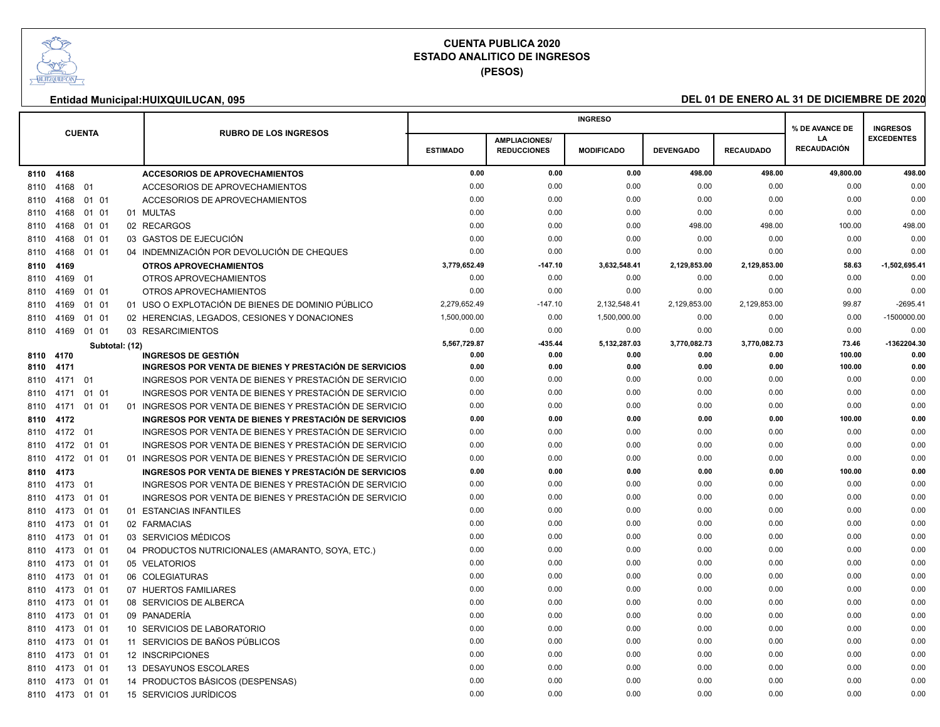

**(PESOS)**

|      |            |               |                |                                                          |                 |                      | <b>INGRESO</b>    |                  |                  | % DE AVANCE DE           | <b>INGRESOS</b>   |
|------|------------|---------------|----------------|----------------------------------------------------------|-----------------|----------------------|-------------------|------------------|------------------|--------------------------|-------------------|
|      |            | <b>CUENTA</b> |                | <b>RUBRO DE LOS INGRESOS</b>                             |                 | <b>AMPLIACIONES/</b> |                   |                  |                  | LA<br><b>RECAUDACIÓN</b> | <b>EXCEDENTES</b> |
|      |            |               |                |                                                          | <b>ESTIMADO</b> | <b>REDUCCIONES</b>   | <b>MODIFICADO</b> | <b>DEVENGADO</b> | <b>RECAUDADO</b> |                          |                   |
| 8110 | 4168       |               |                | <b>ACCESORIOS DE APROVECHAMIENTOS</b>                    | 0.00            | 0.00                 | 0.00              | 498.00           | 498.00           | 49,800.00                | 498.00            |
| 8110 | 4168       | 01            |                | ACCESORIOS DE APROVECHAMIENTOS                           | 0.00            | 0.00                 | 0.00              | 0.00             | 0.00             | 0.00                     | 0.00              |
| 8110 | 4168       | 01 01         |                | <b>ACCESORIOS DE APROVECHAMIENTOS</b>                    | 0.00            | 0.00                 | 0.00              | 0.00             | 0.00             | 0.00                     | 0.00              |
| 8110 | 4168       | 01 01         |                | 01 MULTAS                                                | 0.00            | 0.00                 | 0.00              | 0.00             | 0.00             | 0.00                     | 0.00              |
| 8110 | 4168       | 01 01         |                | 02 RECARGOS                                              | 0.00            | 0.00                 | 0.00              | 498.00           | 498.00           | 100.00                   | 498.00            |
| 8110 | 4168       | 01 01         |                | 03 GASTOS DE EJECUCIÓN                                   | 0.00            | 0.00                 | 0.00              | 0.00             | 0.00             | 0.00                     | 0.00              |
| 8110 | 4168       | 01 01         |                | 04 INDEMNIZACIÓN POR DEVOLUCIÓN DE CHEQUES               | 0.00            | 0.00                 | 0.00              | 0.00             | 0.00             | 0.00                     | 0.00              |
| 8110 | 4169       |               |                | <b>OTROS APROVECHAMIENTOS</b>                            | 3.779.652.49    | $-147.10$            | 3,632,548.41      | 2,129,853.00     | 2,129,853.00     | 58.63                    | $-1,502,695.41$   |
| 8110 | 4169 01    |               |                | OTROS APROVECHAMIENTOS                                   | 0.00            | 0.00                 | 0.00              | 0.00             | 0.00             | 0.00                     | 0.00              |
| 8110 | 4169       | 01 01         |                | OTROS APROVECHAMIENTOS                                   | 0.00            | 0.00                 | 0.00              | 0.00             | 0.00             | 0.00                     | 0.00              |
| 8110 | 4169       | 01 01         |                | 01 USO O EXPLOTACIÓN DE BIENES DE DOMINIO PÚBLICO        | 2,279,652.49    | $-147.10$            | 2,132,548.41      | 2,129,853.00     | 2,129,853.00     | 99.87                    | $-2695.41$        |
| 8110 | 4169       | 01 01         |                | 02 HERENCIAS, LEGADOS, CESIONES Y DONACIONES             | 1,500,000.00    | 0.00                 | 1,500,000.00      | 0.00             | 0.00             | 0.00                     | $-1500000.00$     |
| 8110 | 4169       | 01 01         |                | 03 RESARCIMIENTOS                                        | 0.00            | 0.00                 | 0.00              | 0.00             | 0.00             | 0.00                     | 0.00              |
|      |            |               | Subtotal: (12) |                                                          | 5,567,729.87    | 435.44               | 5,132,287.03      | 3,770,082.73     | 3,770,082.73     | 73.46                    | -1362204.30       |
| 8110 | 4170       |               |                | <b>INGRESOS DE GESTIÓN</b>                               | 0.00            | 0.00                 | 0.00              | 0.00             | 0.00             | 100.00                   | 0.00              |
| 8110 | 4171       |               |                | INGRESOS POR VENTA DE BIENES Y PRESTACIÓN DE SERVICIOS   | 0.00            | 0.00                 | 0.00              | 0.00             | 0.00             | 100.00                   | 0.00              |
| 8110 | 4171       | 01            |                | INGRESOS POR VENTA DE BIENES Y PRESTACIÓN DE SERVICIO    | 0.00            | 0.00                 | 0.00              | 0.00             | 0.00             | 0.00                     | 0.00              |
| 8110 | 4171       | 01 01         |                | INGRESOS POR VENTA DE BIENES Y PRESTACIÓN DE SERVICIO    | 0.00            | 0.00                 | 0.00              | 0.00             | 0.00             | 0.00                     | 0.00<br>0.00      |
| 8110 | 4171       | 01 01         |                | 01 INGRESOS POR VENTA DE BIENES Y PRESTACIÓN DE SERVICIO | 0.00            | 0.00                 | 0.00              | 0.00             | 0.00             | 0.00                     |                   |
| 8110 | 4172       |               |                | INGRESOS POR VENTA DE BIENES Y PRESTACIÓN DE SERVICIOS   | 0.00            | 0.00                 | 0.00              | 0.00             | 0.00             | 100.00                   | 0.00              |
| 8110 | 4172 01    |               |                | INGRESOS POR VENTA DE BIENES Y PRESTACIÓN DE SERVICIO    | 0.00<br>0.00    | 0.00<br>0.00         | 0.00<br>0.00      | 0.00             | 0.00             | 0.00<br>0.00             | 0.00<br>0.00      |
| 8110 | 4172       | 01 01         |                | INGRESOS POR VENTA DE BIENES Y PRESTACIÓN DE SERVICIO    |                 |                      |                   | 0.00             | 0.00             |                          |                   |
| 8110 | 4172 01 01 |               |                | 01 INGRESOS POR VENTA DE BIENES Y PRESTACIÓN DE SERVICIO | 0.00            | 0.00                 | 0.00              | 0.00             | 0.00             | 0.00                     | 0.00              |
| 8110 | 4173       |               |                | INGRESOS POR VENTA DE BIENES Y PRESTACIÓN DE SERVICIOS   | 0.00            | 0.00                 | 0.00              | 0.00             | 0.00             | 100.00                   | 0.00              |
| 8110 | 4173 01    |               |                | INGRESOS POR VENTA DE BIENES Y PRESTACIÓN DE SERVICIO    | 0.00            | 0.00                 | 0.00              | 0.00             | 0.00             | 0.00                     | 0.00              |
| 8110 | 4173       | 01 01         |                | INGRESOS POR VENTA DE BIENES Y PRESTACIÓN DE SERVICIO    | 0.00            | 0.00                 | 0.00              | 0.00             | 0.00             | 0.00                     | 0.00              |
| 8110 | 4173       | 01 01         |                | 01 ESTANCIAS INFANTILES                                  | 0.00            | 0.00                 | 0.00              | 0.00             | 0.00             | 0.00                     | 0.00              |
| 8110 | 4173       | 01 01         |                | 02 FARMACIAS                                             | 0.00            | 0.00                 | 0.00              | 0.00             | 0.00             | 0.00                     | 0.00              |
| 8110 | 4173       | 01 01         |                | 03 SERVICIOS MÉDICOS                                     | 0.00            | 0.00                 | 0.00              | 0.00             | 0.00             | 0.00                     | 0.00              |
| 8110 | 4173       | 01 01         |                | 04 PRODUCTOS NUTRICIONALES (AMARANTO, SOYA, ETC.)        | 0.00            | 0.00                 | 0.00              | 0.00             | 0.00             | 0.00                     | 0.00              |
| 8110 | 4173       | 01 01         |                | 05 VELATORIOS                                            | 0.00            | 0.00                 | 0.00              | 0.00             | 0.00             | 0.00                     | 0.00              |
| 8110 | 4173       | 01 01         |                | 06 COLEGIATURAS                                          | 0.00            | 0.00                 | 0.00              | 0.00             | 0.00             | 0.00                     | 0.00              |
| 8110 | 4173       | 01 01         |                | 07 HUERTOS FAMILIARES                                    | 0.00            | 0.00                 | 0.00              | 0.00             | 0.00             | 0.00                     | 0.00              |
| 8110 | 4173       | 01 01         |                | 08 SERVICIOS DE ALBERCA                                  | 0.00            | 0.00                 | 0.00              | 0.00             | 0.00             | 0.00                     | 0.00              |
| 8110 | 4173       | 01 01         |                | 09 PANADERÍA                                             | 0.00            | 0.00                 | 0.00              | 0.00             | 0.00             | 0.00                     | 0.00              |
| 8110 | 4173       | 01 01         |                | 10 SERVICIOS DE LABORATORIO                              | 0.00            | 0.00                 | 0.00              | 0.00             | 0.00             | 0.00                     | 0.00              |
| 8110 | 4173       | 01 01         |                | 11 SERVICIOS DE BAÑOS PÚBLICOS                           | 0.00            | 0.00                 | 0.00              | 0.00             | 0.00             | 0.00                     | 0.00              |
| 8110 | 4173       | 01 01         |                | 12 INSCRIPCIONES                                         | 0.00            | 0.00                 | 0.00              | 0.00             | 0.00             | 0.00                     | 0.00              |
| 8110 | 4173       | 01 01         |                | 13 DESAYUNOS ESCOLARES                                   | 0.00            | 0.00                 | 0.00              | 0.00             | 0.00             | 0.00                     | 0.00              |
| 8110 | 4173       | 01 01         |                | 14 PRODUCTOS BÁSICOS (DESPENSAS)                         | 0.00            | 0.00                 | 0.00              | 0.00             | 0.00             | 0.00                     | 0.00              |
|      | 8110 4173  | 01 01         |                | 15 SERVICIOS JURÍDICOS                                   | 0.00            | 0.00                 | 0.00              | 0.00             | 0.00             | 0.00                     | 0.00              |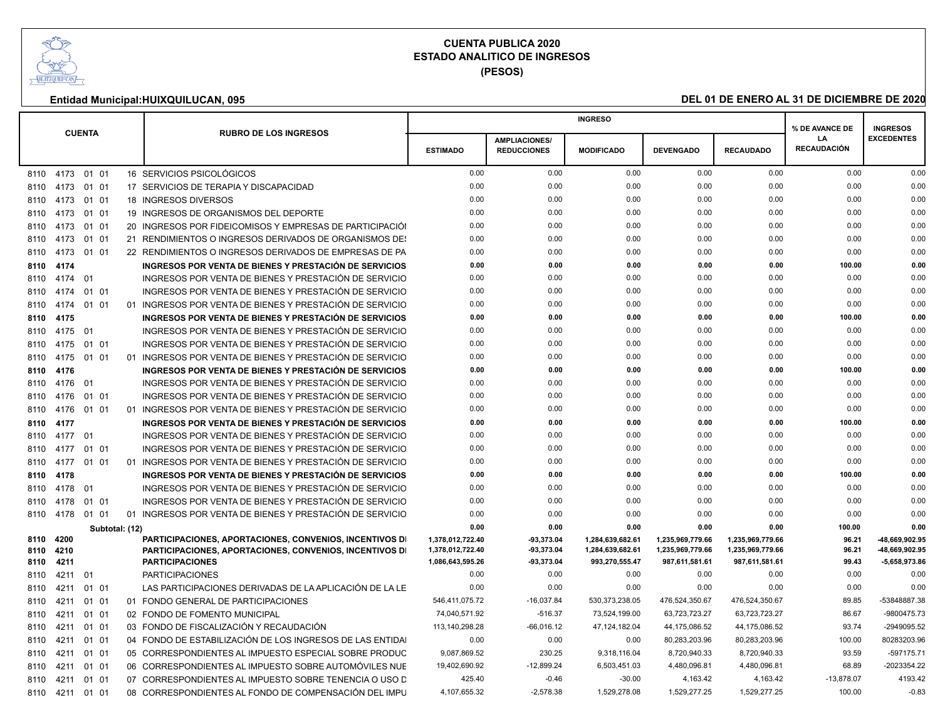

**(PESOS)**

|                                     |                 |               |                |                                                                                                                                              |                                                          |                                            | <b>INGRESO</b>                                         |                                                        |                                                        | % DE AVANCE DE           | <b>INGRESOS</b>                                   |
|-------------------------------------|-----------------|---------------|----------------|----------------------------------------------------------------------------------------------------------------------------------------------|----------------------------------------------------------|--------------------------------------------|--------------------------------------------------------|--------------------------------------------------------|--------------------------------------------------------|--------------------------|---------------------------------------------------|
|                                     |                 | <b>CUENTA</b> |                | <b>RUBRO DE LOS INGRESOS</b>                                                                                                                 | <b>ESTIMADO</b>                                          | <b>AMPLIACIONES/</b><br><b>REDUCCIONES</b> | <b>MODIFICADO</b>                                      | <b>DEVENGADO</b>                                       | <b>RECAUDADO</b>                                       | LA<br><b>RECAUDACIÓN</b> | <b>EXCEDENTES</b>                                 |
|                                     | 8110 4173 01 01 |               |                | 16 SERVICIOS PSICOLÓGICOS                                                                                                                    | 0.00                                                     | 0.00                                       | 0.00                                                   | 0.00                                                   | 0.00                                                   | 0.00                     | 0.00                                              |
|                                     | 8110 4173 01 01 |               |                | 17 SERVICIOS DE TERAPIA Y DISCAPACIDAD                                                                                                       | 0.00                                                     | 0.00                                       | 0.00                                                   | 0.00                                                   | 0.00                                                   | 0.00                     | 0.00                                              |
|                                     | 8110 4173 01 01 |               |                | 18 INGRESOS DIVERSOS                                                                                                                         | 0.00                                                     | 0.00                                       | 0.00                                                   | 0.00                                                   | 0.00                                                   | 0.00                     | 0.00                                              |
|                                     | 8110 4173       | 01 01         |                | 19 INGRESOS DE ORGANISMOS DEL DEPORTE                                                                                                        | 0.00                                                     | 0.00                                       | 0.00                                                   | 0.00                                                   | 0.00                                                   | 0.00                     | 0.00                                              |
|                                     | 8110 4173       | 01 01         |                | 20 INGRESOS POR FIDEICOMISOS Y EMPRESAS DE PARTICIPACIÓL                                                                                     | 0.00                                                     | 0.00                                       | 0.00                                                   | 0.00                                                   | 0.00                                                   | 0.00                     | 0.00                                              |
|                                     | 8110 4173       | 01 01         |                | 21 RENDIMIENTOS O INGRESOS DERIVADOS DE ORGANISMOS DE:                                                                                       | 0.00                                                     | 0.00                                       | 0.00                                                   | 0.00                                                   | 0.00                                                   | 0.00                     | 0.00                                              |
|                                     | 8110 4173       | 01 01         |                | 22 RENDIMIENTOS O INGRESOS DERIVADOS DE EMPRESAS DE PA                                                                                       | 0.00                                                     | 0.00                                       | 0.00                                                   | 0.00                                                   | 0.00                                                   | 0.00                     | 0.00                                              |
| 8110 4174                           |                 |               |                | INGRESOS POR VENTA DE BIENES Y PRESTACIÓN DE SERVICIOS                                                                                       | 0.00                                                     | 0.00                                       | 0.00                                                   | 0.00                                                   | 0.00                                                   | 100.00                   | 0.00                                              |
|                                     | 8110 4174 01    |               |                | INGRESOS POR VENTA DE BIENES Y PRESTACIÓN DE SERVICIO                                                                                        | 0.00                                                     | 0.00                                       | 0.00                                                   | 0.00                                                   | 0.00                                                   | 0.00                     | 0.00                                              |
| 8110 4174                           |                 | 01 01         |                | INGRESOS POR VENTA DE BIENES Y PRESTACIÓN DE SERVICIO                                                                                        | 0.00                                                     | 0.00                                       | 0.00                                                   | 0.00                                                   | 0.00                                                   | 0.00                     | 0.00                                              |
| 8110 4174                           |                 | 01 01         |                | 01 INGRESOS POR VENTA DE BIENES Y PRESTACIÓN DE SERVICIO                                                                                     | 0.00                                                     | 0.00                                       | 0.00                                                   | 0.00                                                   | 0.00                                                   | 0.00                     | 0.00                                              |
| 8110 4175                           |                 |               |                | INGRESOS POR VENTA DE BIENES Y PRESTACIÓN DE SERVICIOS                                                                                       | 0.00                                                     | 0.00                                       | 0.00                                                   | 0.00                                                   | 0.00                                                   | 100.00                   | 0.00                                              |
|                                     | 8110 4175       | 01            |                | INGRESOS POR VENTA DE BIENES Y PRESTACIÓN DE SERVICIO                                                                                        | 0.00                                                     | 0.00                                       | 0.00                                                   | 0.00                                                   | 0.00                                                   | 0.00                     | 0.00                                              |
|                                     | 8110 4175       | 01 01         |                | INGRESOS POR VENTA DE BIENES Y PRESTACIÓN DE SERVICIO                                                                                        | 0.00                                                     | 0.00                                       | 0.00                                                   | 0.00                                                   | 0.00                                                   | 0.00                     | 0.00                                              |
|                                     | 8110 4175       | 01 01         |                | 01 INGRESOS POR VENTA DE BIENES Y PRESTACIÓN DE SERVICIO                                                                                     | 0.00                                                     | 0.00                                       | 0.00                                                   | 0.00                                                   | 0.00                                                   | 0.00                     | 0.00                                              |
| 8110 4176                           |                 |               |                | INGRESOS POR VENTA DE BIENES Y PRESTACIÓN DE SERVICIOS                                                                                       | 0.00                                                     | 0.00                                       | 0.00                                                   | 0.00                                                   | 0.00                                                   | 100.00                   | 0.00                                              |
|                                     | 8110 4176 01    |               |                | INGRESOS POR VENTA DE BIENES Y PRESTACIÓN DE SERVICIO                                                                                        | 0.00                                                     | 0.00                                       | 0.00                                                   | 0.00                                                   | 0.00                                                   | 0.00                     | 0.00                                              |
|                                     | 8110 4176       | 01 01         |                | INGRESOS POR VENTA DE BIENES Y PRESTACIÓN DE SERVICIO                                                                                        | 0.00                                                     | 0.00                                       | 0.00                                                   | 0.00                                                   | 0.00                                                   | 0.00                     | 0.00                                              |
|                                     | 8110 4176       | 01 01         |                | 01 INGRESOS POR VENTA DE BIENES Y PRESTACIÓN DE SERVICIO                                                                                     | 0.00                                                     | 0.00                                       | 0.00                                                   | 0.00                                                   | 0.00                                                   | 0.00                     | 0.00                                              |
| 8110 4177                           |                 |               |                | INGRESOS POR VENTA DE BIENES Y PRESTACIÓN DE SERVICIOS                                                                                       | 0.00                                                     | 0.00                                       | 0.00                                                   | 0.00                                                   | 0.00                                                   | 100.00                   | 0.00                                              |
|                                     | 8110 4177 01    |               |                | INGRESOS POR VENTA DE BIENES Y PRESTACIÓN DE SERVICIO                                                                                        | 0.00                                                     | 0.00                                       | 0.00                                                   | 0.00                                                   | 0.00                                                   | 0.00                     | 0.00                                              |
|                                     | 8110 4177       | 01 01         |                | INGRESOS POR VENTA DE BIENES Y PRESTACIÓN DE SERVICIO                                                                                        | 0.00                                                     | 0.00                                       | 0.00                                                   | 0.00                                                   | 0.00                                                   | 0.00                     | 0.00                                              |
| 8110 4177                           |                 | 01 01         |                | 01 INGRESOS POR VENTA DE BIENES Y PRESTACIÓN DE SERVICIO                                                                                     | 0.00                                                     | 0.00                                       | 0.00                                                   | 0.00                                                   | 0.00                                                   | 0.00                     | 0.00                                              |
| 8110 4178                           |                 |               |                | INGRESOS POR VENTA DE BIENES Y PRESTACIÓN DE SERVICIOS                                                                                       | 0.00                                                     | 0.00                                       | 0.00                                                   | 0.00                                                   | 0.00                                                   | 100.00                   | 0.00                                              |
|                                     | 8110 4178       | 01            |                | INGRESOS POR VENTA DE BIENES Y PRESTACIÓN DE SERVICIO                                                                                        | 0.00                                                     | 0.00                                       | 0.00                                                   | 0.00                                                   | 0.00                                                   | 0.00                     | 0.00                                              |
|                                     | 8110 4178 01 01 |               |                | INGRESOS POR VENTA DE BIENES Y PRESTACIÓN DE SERVICIO                                                                                        | 0.00                                                     | 0.00                                       | 0.00                                                   | 0.00                                                   | 0.00                                                   | 0.00                     | 0.00                                              |
|                                     | 8110 4178 01 01 |               |                | 01 INGRESOS POR VENTA DE BIENES Y PRESTACIÓN DE SERVICIO                                                                                     | 0.00                                                     | 0.00                                       | 0.00                                                   | 0.00                                                   | 0.00                                                   | 0.00                     | 0.00                                              |
|                                     |                 |               | Subtotal: (12) |                                                                                                                                              | 0.00                                                     | 0.00                                       | 0.00                                                   | 0.00                                                   | 0.00                                                   | 100.00                   | 0.00                                              |
| 8110 4200<br>8110 4210<br>8110 4211 |                 |               |                | PARTICIPACIONES, APORTACIONES, CONVENIOS, INCENTIVOS DI<br>PARTICIPACIONES, APORTACIONES, CONVENIOS, INCENTIVOS DI<br><b>PARTICIPACIONES</b> | 1,378,012,722.40<br>1,378,012,722.40<br>1,086,643,595.26 | -93,373.04<br>-93,373.04<br>-93,373.04     | 1,284,639,682.61<br>1,284,639,682.61<br>993,270,555.47 | 1,235,969,779.66<br>1,235,969,779.66<br>987,611,581.61 | 1,235,969,779.66<br>1,235,969,779.66<br>987,611,581.61 | 96.21<br>96.21<br>99.43  | -48,669,902.95<br>-48,669,902.95<br>-5,658,973.86 |
|                                     | 8110 4211       | 01            |                | <b>PARTICIPACIONES</b>                                                                                                                       | 0.00                                                     | 0.00                                       | 0.00                                                   | 0.00                                                   | 0.00                                                   | 0.00                     | 0.00                                              |
| 8110                                | 4211            | 01 01         |                | LAS PARTICIPACIONES DERIVADAS DE LA APLICACIÓN DE LA LE                                                                                      | 0.00                                                     | 0.00                                       | 0.00                                                   | 0.00                                                   | 0.00                                                   | 0.00                     | 0.00                                              |
|                                     | 8110 4211       | 01 01         |                | 01 FONDO GENERAL DE PARTICIPACIONES                                                                                                          | 546,411,075.72                                           | $-16,037.84$                               | 530,373,238.05                                         | 476,524,350.67                                         | 476,524,350.67                                         | 89.85                    | -53848887.38                                      |
| 8110                                | 4211            | 01 01         |                | 02 FONDO DE FOMENTO MUNICIPAL                                                                                                                | 74,040,571.92                                            | $-516.37$                                  | 73,524,199.00                                          | 63,723,723.27                                          | 63,723,723.27                                          | 86.67                    | -9800475.73                                       |
|                                     | 8110 4211       | 01 01         |                | 03 FONDO DE FISCALIZACIÓN Y RECAUDACIÓN                                                                                                      | 113, 140, 298. 28                                        | $-66,016.12$                               | 47,124,182.04                                          | 44,175,086.52                                          | 44,175,086.52                                          | 93.74                    | -2949095.52                                       |
|                                     | 8110 4211       | 01 01         |                | 04 FONDO DE ESTABILIZACIÓN DE LOS INGRESOS DE LAS ENTIDAI                                                                                    | 0.00                                                     | 0.00                                       | 0.00                                                   | 80,283,203.96                                          | 80,283,203.96                                          | 100.00                   | 80283203.96                                       |
| 8110                                | 4211            | 01 01         |                | 05 CORRESPONDIENTES AL IMPUESTO ESPECIAL SOBRE PRODUC                                                                                        | 9,087,869.52                                             | 230.25                                     | 9,318,116.04                                           | 8,720,940.33                                           | 8,720,940.33                                           | 93.59                    | $-597175.71$                                      |
|                                     | 8110 4211       | 01 01         |                | 06 CORRESPONDIENTES AL IMPUESTO SOBRE AUTOMÓVILES NUE                                                                                        | 19,402,690.92                                            | $-12,899.24$                               | 6,503,451.03                                           | 4,480,096.81                                           | 4,480,096.81                                           | 68.89                    | -2023354.22                                       |
|                                     | 8110 4211       | 01 01         |                | 07 CORRESPONDIENTES AL IMPUESTO SOBRE TENENCIA O USO D                                                                                       | 425.40                                                   | $-0.46$                                    | $-30.00$                                               | 4.163.42                                               | 4.163.42                                               | $-13.878.07$             | 4193.42                                           |
|                                     | 8110 4211 01 01 |               |                | 08 CORRESPONDIENTES AL FONDO DE COMPENSACIÓN DEL IMPL                                                                                        | 4,107,655.32                                             | $-2,578.38$                                | 1,529,278.08                                           | 1.529.277.25                                           | 1,529,277.25                                           | 100.00                   | $-0.83$                                           |
|                                     |                 |               |                |                                                                                                                                              |                                                          |                                            |                                                        |                                                        |                                                        |                          |                                                   |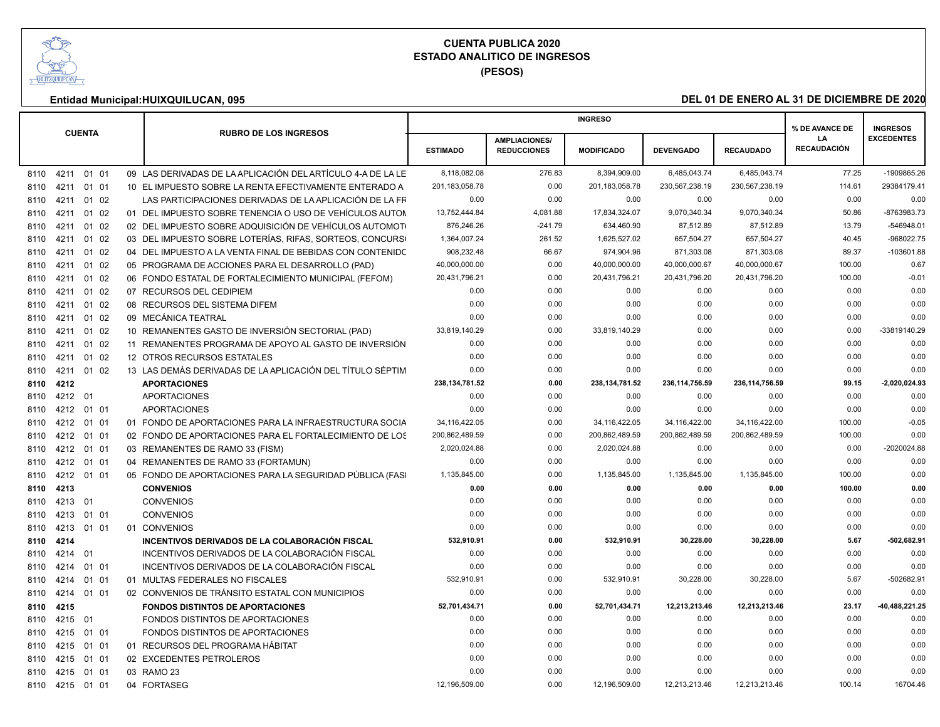

|                    |                                                             |                  |                                            | <b>INGRESO</b>    |                  |                  | % DE AVANCE DE           | <b>INGRESOS</b>   |
|--------------------|-------------------------------------------------------------|------------------|--------------------------------------------|-------------------|------------------|------------------|--------------------------|-------------------|
| <b>CUENTA</b>      | <b>RUBRO DE LOS INGRESOS</b>                                | <b>ESTIMADO</b>  | <b>AMPLIACIONES/</b><br><b>REDUCCIONES</b> | <b>MODIFICADO</b> | <b>DEVENGADO</b> | <b>RECAUDADO</b> | LA<br><b>RECAUDACIÓN</b> | <b>EXCEDENTES</b> |
| 8110 4211 01 01    | 09 LAS DERIVADAS DE LA APLICACIÓN DEL ARTÍCULO 4-A DE LA LE | 8,118,082.08     | 276.83                                     | 8,394,909.00      | 6,485,043.74     | 6,485,043.74     | 77.25                    | -1909865.26       |
| 01 01<br>8110 4211 | 10 EL IMPUESTO SOBRE LA RENTA EFECTIVAMENTE ENTERADO A      | 201.183.058.78   | 0.00                                       | 201.183.058.78    | 230,567,238.19   | 230.567.238.19   | 114.61                   | 29384179.41       |
| 01 02<br>8110 4211 | LAS PARTICIPACIONES DERIVADAS DE LA APLICACIÓN DE LA FR     | 0.00             | 0.00                                       | 0.00              | 0.00             | 0.00             | 0.00                     | 0.00              |
| 01 02<br>8110 4211 | 01 DEL IMPUESTO SOBRE TENENCIA O USO DE VEHÍCULOS AUTON     | 13,752,444.84    | 4,081.88                                   | 17,834,324.07     | 9,070,340.34     | 9,070,340.34     | 50.86                    | -8763983.73       |
| 01 02<br>8110 421  | 02 DEL IMPUESTO SOBRE ADQUISICIÓN DE VEHÍCULOS AUTOMOTO     | 876,246.26       | $-241.79$                                  | 634,460.90        | 87,512.89        | 87,512.89        | 13.79                    | -546948.01        |
| 01 02<br>8110 4211 | 03 DEL IMPUESTO SOBRE LOTERÍAS, RIFAS, SORTEOS, CONCURSO    | 1,364,007.24     | 261.52                                     | 1.625.527.02      | 657,504.27       | 657,504.27       | 40.45                    | -968022.75        |
| 8110 4211<br>01 02 | 04 DEL IMPUESTO A LA VENTA FINAL DE BEBIDAS CON CONTENIDO   | 908,232.48       | 66.67                                      | 974,904.96        | 871,303.08       | 871,303.08       | 89.37                    | $-103601.88$      |
| 01 02<br>8110 421  | 05 PROGRAMA DE ACCIONES PARA EL DESARROLLO (PAD)            | 40,000,000.00    | 0.00                                       | 40,000,000.00     | 40,000,000.67    | 40,000,000.67    | 100.00                   | 0.67              |
| 01 02<br>8110 4211 | 06 FONDO ESTATAL DE FORTALECIMIENTO MUNICIPAL (FEFOM)       | 20,431,796.21    | 0.00                                       | 20,431,796.21     | 20,431,796.20    | 20,431,796.20    | 100.00                   | $-0.01$           |
| 8110 4211<br>01 02 | 07 RECURSOS DEL CEDIPIEM                                    | 0.00             | 0.00                                       | 0.00              | 0.00             | 0.00             | 0.00                     | 0.00              |
| 01 02<br>8110 4211 | 08 RECURSOS DEL SISTEMA DIFEM                               | 0.00             | 0.00                                       | 0.00              | 0.00             | 0.00             | 0.00                     | 0.00              |
| 01 02<br>8110 4211 | 09 MECÁNICA TEATRAL                                         | 0.00             | 0.00                                       | 0.00              | 0.00             | 0.00             | 0.00                     | 0.00              |
| 01 02<br>8110 4211 | 10 REMANENTES GASTO DE INVERSIÓN SECTORIAL (PAD)            | 33,819,140.29    | 0.00                                       | 33,819,140.29     | 0.00             | 0.00             | 0.00                     | -33819140.29      |
| 01 02<br>8110 4211 | 11 REMANENTES PROGRAMA DE APOYO AL GASTO DE INVERSIÓN       | 0.00             | 0.00                                       | 0.00              | 0.00             | 0.00             | 0.00                     | 0.00              |
| 01 02<br>8110 421  | 12 OTROS RECURSOS ESTATALES                                 | 0.00             | 0.00                                       | 0.00              | 0.00             | 0.00             | 0.00                     | 0.00              |
| 8110 4211<br>01 02 | 13 LAS DEMÁS DERIVADAS DE LA APLICACIÓN DEL TÍTULO SÉPTIM   | 0.00             | 0.00                                       | 0.00              | 0.00             | 0.00             | 0.00                     | 0.00              |
| 8110 4212          | <b>APORTACIONES</b>                                         | 238, 134, 781.52 | 0.00                                       | 238, 134, 781.52  | 236, 114, 756.59 | 236, 114, 756.59 | 99.15                    | 2,020,024.93      |
| 8110 4212 01       | <b>APORTACIONES</b>                                         | 0.00             | 0.00                                       | 0.00              | 0.00             | 0.00             | 0.00                     | 0.00              |
| 8110 4212 01 01    | <b>APORTACIONES</b>                                         | 0.00             | 0.00                                       | 0.00              | 0.00             | 0.00             | 0.00                     | 0.00              |
| 01 01<br>8110 4212 | 01 FONDO DE APORTACIONES PARA LA INFRAESTRUCTURA SOCIA      | 34.116.422.05    | 0.00                                       | 34, 116, 422.05   | 34.116.422.00    | 34.116.422.00    | 100.00                   | $-0.05$           |
| 8110 4212<br>01 01 | 02 FONDO DE APORTACIONES PARA EL FORTALECIMIENTO DE LOS     | 200,862,489.59   | 0.00                                       | 200,862,489.59    | 200,862,489.59   | 200,862,489.59   | 100.00                   | 0.00              |
| 8110 4212 01 01    | 03 REMANENTES DE RAMO 33 (FISM)                             | 2,020,024.88     | 0.00                                       | 2.020.024.88      | 0.00             | 0.00             | 0.00                     | -2020024.88       |
| 8110 4212 01 01    | 04 REMANENTES DE RAMO 33 (FORTAMUN)                         | 0.00             | 0.00                                       | 0.00              | 0.00             | 0.00             | 0.00                     | 0.00              |
| 01 01<br>8110 4212 | 05 FONDO DE APORTACIONES PARA LA SEGURIDAD PÚBLICA (FASI    | 1,135,845.00     | 0.00                                       | 1,135,845.00      | 1,135,845.00     | 1,135,845.00     | 100.00                   | 0.00              |
| 8110 4213          | <b>CONVENIOS</b>                                            | 0.00             | 0.00                                       | 0.00              | 0.00             | 0.00             | 100.00                   | 0.00              |
| 8110 4213<br>01    | <b>CONVENIOS</b>                                            | 0.00             | 0.00                                       | 0.00              | 0.00             | 0.00             | 0.00                     | 0.00              |
| 01 01<br>8110 4213 | <b>CONVENIOS</b>                                            | 0.00             | 0.00                                       | 0.00              | 0.00             | 0.00             | 0.00                     | 0.00              |
| 01 01<br>8110 4213 | 01 CONVENIOS                                                | 0.00             | 0.00                                       | 0.00              | 0.00             | 0.00             | 0.00                     | 0.00              |
| 8110 4214          | INCENTIVOS DERIVADOS DE LA COLABORACIÓN FISCAL              | 532,910.91       | 0.00                                       | 532,910.91        | 30,228.00        | 30,228.00        | 5.67                     | $-502,682.91$     |
| 8110 4214<br>01    | INCENTIVOS DERIVADOS DE LA COLABORACIÓN FISCAL              | 0.00             | 0.00                                       | 0.00              | 0.00             | 0.00             | 0.00                     | 0.00              |
| 01 01<br>8110 4214 | INCENTIVOS DERIVADOS DE LA COLABORACIÓN FISCAL              | 0.00             | 0.00                                       | 0.00              | 0.00             | 0.00             | 0.00                     | 0.00              |
| 01 01<br>8110 4214 | 01 MULTAS FEDERALES NO FISCALES                             | 532,910.91       | 0.00                                       | 532,910.91        | 30,228.00        | 30,228.00        | 5.67                     | -502682.91        |
| 01 01<br>8110 4214 | 02 CONVENIOS DE TRÁNSITO ESTATAL CON MUNICIPIOS             | 0.00             | 0.00                                       | 0.00              | 0.00             | 0.00             | 0.00                     | 0.00              |
| 8110 4215          | <b>FONDOS DISTINTOS DE APORTACIONES</b>                     | 52,701,434.71    | 0.00                                       | 52,701,434.71     | 12,213,213.46    | 12,213,213.46    | 23.17                    | -40,488,221.25    |
| 8110 4215 01       | <b>FONDOS DISTINTOS DE APORTACIONES</b>                     | 0.00             | 0.00                                       | 0.00              | 0.00             | 0.00             | 0.00                     | 0.00              |
| 01 01<br>8110 4215 | <b>FONDOS DISTINTOS DE APORTACIONES</b>                     | 0.00             | 0.00                                       | 0.00              | 0.00             | 0.00             | 0.00                     | 0.00              |
| 01 01<br>8110 4215 | 01 RECURSOS DEL PROGRAMA HÁBITAT                            | 0.00             | 0.00                                       | 0.00              | 0.00             | 0.00             | 0.00                     | 0.00              |
| 01 01<br>8110 4215 | 02 EXCEDENTES PETROLEROS                                    | 0.00             | 0.00                                       | 0.00              | 0.00             | 0.00             | 0.00                     | 0.00              |
| 8110 4215 01 01    | 03 RAMO 23                                                  | 0.00             | 0.00                                       | 0.00              | 0.00             | 0.00             | 0.00                     | 0.00              |
| 8110 4215 01 01    | 04 FORTASEG                                                 | 12,196,509.00    | 0.00                                       | 12,196,509.00     | 12,213,213.46    | 12,213,213.46    | 100.14                   | 16704.46          |
|                    |                                                             |                  |                                            |                   |                  |                  |                          |                   |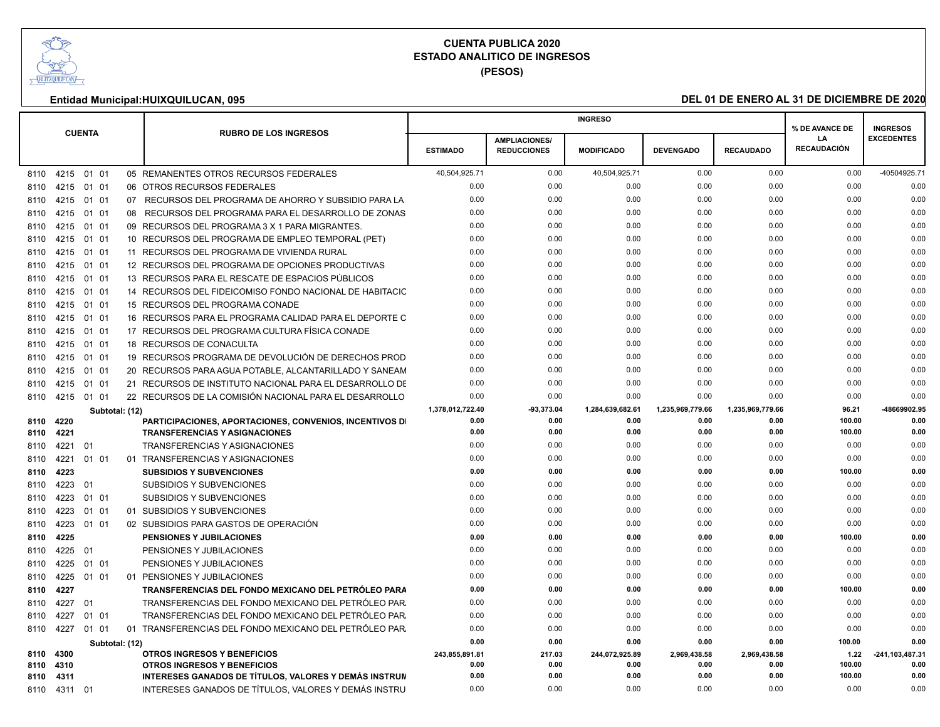

**(PESOS)**

|           |                 |               |                |                                                                |                  |                                            | <b>INGRESO</b>    |                  |                  | % DE AVANCE DE                  | <b>INGRESOS</b>   |
|-----------|-----------------|---------------|----------------|----------------------------------------------------------------|------------------|--------------------------------------------|-------------------|------------------|------------------|---------------------------------|-------------------|
|           |                 | <b>CUENTA</b> |                | <b>RUBRO DE LOS INGRESOS</b>                                   | <b>ESTIMADO</b>  | <b>AMPLIACIONES/</b><br><b>REDUCCIONES</b> | <b>MODIFICADO</b> | <b>DEVENGADO</b> | <b>RECAUDADO</b> | <b>LA</b><br><b>RECAUDACIÓN</b> | <b>EXCEDENTES</b> |
|           | 8110 4215 01 01 |               |                | 05 REMANENTES OTROS RECURSOS FEDERALES                         | 40,504,925.71    | 0.00                                       | 40,504,925.71     | 0.00             | 0.00             | 0.00                            | -40504925.71      |
| 8110      | 4215 01 01      |               |                | 06 OTROS RECURSOS FEDERALES                                    | 0.00             | 0.00                                       | 0.00              | 0.00             | 0.00             | 0.00                            | 0.00              |
|           | 8110 4215 01 01 |               |                | 07 RECURSOS DEL PROGRAMA DE AHORRO Y SUBSIDIO PARA LA          | 0.00             | 0.00                                       | 0.00              | 0.00             | 0.00             | 0.00                            | 0.00              |
|           | 8110 4215 01 01 |               |                | 08 RECURSOS DEL PROGRAMA PARA EL DESARROLLO DE ZONAS           | 0.00             | 0.00                                       | 0.00              | 0.00             | 0.00             | 0.00                            | 0.00              |
| 8110      | 4215            | 01 01         |                | 09 RECURSOS DEL PROGRAMA 3 X 1 PARA MIGRANTES.                 | 0.00             | 0.00                                       | 0.00              | 0.00             | 0.00             | 0.00                            | 0.00              |
|           | 8110 4215 01 01 |               |                | 10 RECURSOS DEL PROGRAMA DE EMPLEO TEMPORAL (PET)              | 0.00             | 0.00                                       | 0.00              | 0.00             | 0.00             | 0.00                            | 0.00              |
| 8110 4215 |                 | 01 01         |                | 11 RECURSOS DEL PROGRAMA DE VIVIENDA RURAL                     | 0.00             | 0.00                                       | 0.00              | 0.00             | 0.00             | 0.00                            | 0.00              |
| 8110      | 4215            | 01 01         |                | 12 RECURSOS DEL PROGRAMA DE OPCIONES PRODUCTIVAS               | 0.00             | 0.00                                       | 0.00              | 0.00             | 0.00             | 0.00                            | 0.00              |
| 8110 4215 |                 | 01 01         |                | 13 RECURSOS PARA EL RESCATE DE ESPACIOS PÚBLICOS               | 0.00             | 0.00                                       | 0.00              | 0.00             | 0.00             | 0.00                            | 0.00              |
|           | 8110 4215 01 01 |               |                | 14 RECURSOS DEL FIDEICOMISO FONDO NACIONAL DE HABITACIC        | 0.00             | 0.00                                       | 0.00              | 0.00             | 0.00             | 0.00                            | 0.00              |
| 8110      | 4215            | 01 01         |                | 15 RECURSOS DEL PROGRAMA CONADE                                | 0.00             | 0.00                                       | 0.00              | 0.00             | 0.00             | 0.00                            | 0.00              |
| 8110 4215 |                 | 01 01         |                | 16 RECURSOS PARA EL PROGRAMA CALIDAD PARA EL DEPORTE C         | 0.00             | 0.00                                       | 0.00              | 0.00             | 0.00             | 0.00                            | 0.00              |
| 8110 4215 |                 | 01 01         |                | 17 RECURSOS DEL PROGRAMA CULTURA FÍSICA CONADE                 | 0.00             | 0.00                                       | 0.00              | 0.00             | 0.00             | 0.00                            | 0.00              |
| 8110 4215 |                 | 01 01         |                | 18 RECURSOS DE CONACULTA                                       | 0.00             | 0.00                                       | 0.00              | 0.00             | 0.00             | 0.00                            | 0.00              |
| 8110 4215 |                 | 01 01         |                | 19 RECURSOS PROGRAMA DE DEVOLUCIÓN DE DERECHOS PROD            | 0.00             | 0.00                                       | 0.00              | 0.00             | 0.00             | 0.00                            | 0.00              |
|           | 8110 4215 01 01 |               |                | 20 RECURSOS PARA AGUA POTABLE, ALCANTARILLADO Y SANEAM         | 0.00             | 0.00                                       | 0.00              | 0.00             | 0.00             | 0.00                            | 0.00              |
| 8110 4215 |                 | 01 01         |                | 21 RECURSOS DE INSTITUTO NACIONAL PARA EL DESARROLLO DE        | 0.00             | 0.00                                       | 0.00              | 0.00             | 0.00             | 0.00                            | 0.00              |
|           | 8110 4215 01 01 |               |                | 22 RECURSOS DE LA COMISIÓN NACIONAL PARA EL DESARROLLO         | 0.00             | 0.00                                       | 0.00              | 0.00             | 0.00             | 0.00                            | 0.00              |
|           |                 |               | Subtotal: (12) |                                                                | 1,378,012,722.40 | -93,373.04                                 | 1,284,639,682.61  | 1,235,969,779.66 | 1,235,969,779.66 | 96.21                           | -48669902.95      |
| 8110 4220 |                 |               |                | <b>PARTICIPACIONES, APORTACIONES, CONVENIOS, INCENTIVOS DI</b> | 0.00             | 0.00                                       | 0.00              | 0.00             | 0.00             | 100.00                          | 0.00              |
| 8110 4221 |                 |               |                | <b>TRANSFERENCIAS Y ASIGNACIONES</b>                           | 0.00             | 0.00                                       | 0.00              | 0.00             | 0.00             | 100.00                          | 0.00              |
| 8110      | 4221            | 01            |                | <b>TRANSFERENCIAS Y ASIGNACIONES</b>                           | 0.00             | 0.00                                       | 0.00              | 0.00             | 0.00             | 0.00                            | 0.00              |
| 8110      | 4221            | 01 01         |                | 01 TRANSFERENCIAS Y ASIGNACIONES                               | 0.00             | 0.00                                       | 0.00              | 0.00             | 0.00             | 0.00                            | 0.00              |
| 8110 4223 |                 |               |                | <b>SUBSIDIOS Y SUBVENCIONES</b>                                | 0.00             | 0.00                                       | 0.00              | 0.00             | 0.00             | 100.00                          | 0.00              |
| 8110      | 4223            | 01            |                | <b>SUBSIDIOS Y SUBVENCIONES</b>                                | 0.00             | 0.00                                       | 0.00              | 0.00             | 0.00             | 0.00                            | 0.00              |
| 8110      | 4223            | 01 01         |                | SUBSIDIOS Y SUBVENCIONES                                       | 0.00             | 0.00                                       | 0.00              | 0.00             | 0.00             | 0.00                            | 0.00              |
| 8110 4223 |                 | 01 01         |                | 01 SUBSIDIOS Y SUBVENCIONES                                    | 0.00             | 0.00                                       | 0.00              | 0.00             | 0.00             | 0.00                            | 0.00              |
| 8110      | 4223            | 01 01         |                | 02 SUBSIDIOS PARA GASTOS DE OPERACIÓN                          | 0.00             | 0.00                                       | 0.00              | 0.00             | 0.00             | 0.00                            | 0.00              |
| 8110 4225 |                 |               |                | <b>PENSIONES Y JUBILACIONES</b>                                | 0.00             | 0.00                                       | 0.00              | 0.00             | 0.00             | 100.00                          | 0.00              |
| 8110 4225 |                 | - 01          |                | PENSIONES Y JUBILACIONES                                       | 0.00             | 0.00                                       | 0.00              | 0.00             | 0.00             | 0.00                            | 0.00              |
| 8110      | 4225            | 01 01         |                | PENSIONES Y JUBILACIONES                                       | 0.00             | 0.00                                       | 0.00              | 0.00             | 0.00             | 0.00                            | 0.00              |
| 8110 4225 |                 | 01 01         |                | 01 PENSIONES Y JUBILACIONES                                    | 0.00             | 0.00                                       | 0.00              | 0.00             | 0.00             | 0.00                            | 0.00              |
| 8110 4227 |                 |               |                | TRANSFERENCIAS DEL FONDO MEXICANO DEL PETRÓLEO PARA            | 0.00             | 0.00                                       | 0.00              | 0.00             | 0.00             | 100.00                          | 0.00              |
| 8110 4227 |                 | 01            |                | TRANSFERENCIAS DEL FONDO MEXICANO DEL PETRÓLEO PAR.            | 0.00             | 0.00                                       | 0.00              | 0.00             | 0.00             | 0.00                            | 0.00              |
| 8110 4227 |                 | 01 01         |                | TRANSFERENCIAS DEL FONDO MEXICANO DEL PETRÓLEO PAR.            | 0.00             | 0.00                                       | 0.00              | 0.00             | 0.00             | 0.00                            | 0.00              |
|           | 8110 4227 01 01 |               |                | 01 TRANSFERENCIAS DEL FONDO MEXICANO DEL PETRÓLEO PAR.         | 0.00             | 0.00                                       | 0.00              | 0.00             | 0.00             | 0.00                            | 0.00              |
|           |                 |               | Subtotal: (12) |                                                                | 0.00             | 0.00                                       | 0.00              | 0.00             | 0.00             | 100.00                          | 0.00              |
| 8110 4300 |                 |               |                | <b>OTROS INGRESOS Y BENEFICIOS</b>                             | 243,855,891.81   | 217.03                                     | 244,072,925.89    | 2,969,438.58     | 2,969,438.58     | 1.22                            | -241,103,487.31   |
| 8110 4310 |                 |               |                | <b>OTROS INGRESOS Y BENEFICIOS</b>                             | 0.00             | 0.00                                       | 0.00              | 0.00             | 0.00             | 100.00                          | 0.00              |
| 8110 4311 |                 |               |                | INTERESES GANADOS DE TÍTULOS, VALORES Y DEMÁS INSTRUN          | 0.00             | 0.00                                       | 0.00              | 0.00             | 0.00             | 100.00                          | 0.00              |
|           | 8110 4311 01    |               |                | INTERESES GANADOS DE TÍTULOS, VALORES Y DEMÁS INSTRU           | 0.00             | 0.00                                       | 0.00              | 0.00             | 0.00             | 0.00                            | 0.00              |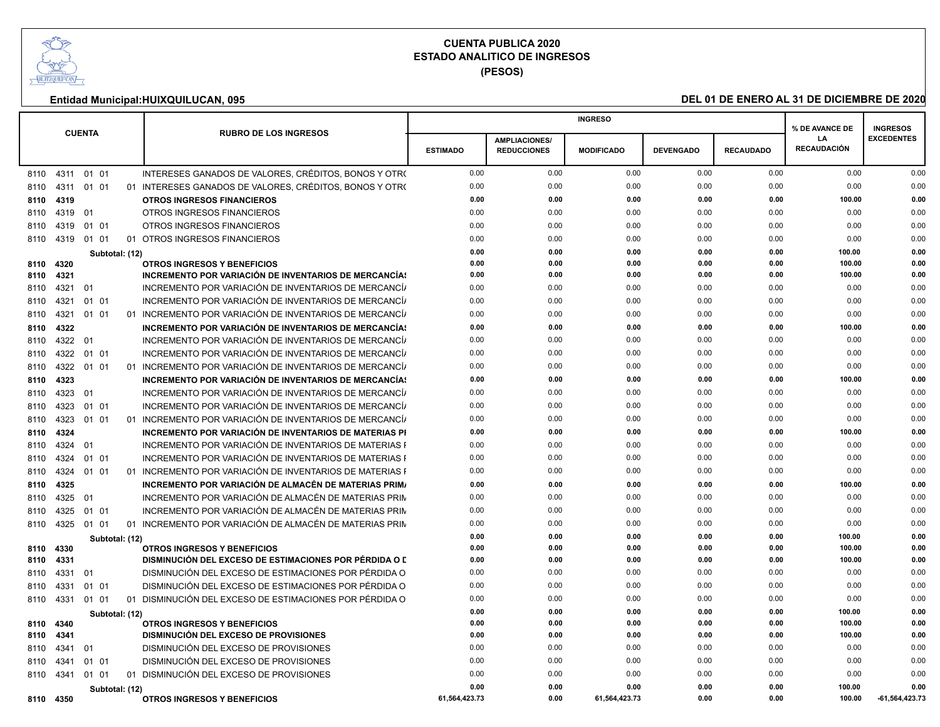

**(PESOS)**

|              | <b>CUENTA</b>               |       |  |                |                                                                                       |                 |                      | <b>INGRESO</b>    |                  |                  | % DE AVANCE DE           | <b>INGRESOS</b>   |
|--------------|-----------------------------|-------|--|----------------|---------------------------------------------------------------------------------------|-----------------|----------------------|-------------------|------------------|------------------|--------------------------|-------------------|
|              |                             |       |  |                | <b>RUBRO DE LOS INGRESOS</b>                                                          |                 | <b>AMPLIACIONES/</b> |                   |                  |                  | LA<br><b>RECAUDACIÓN</b> | <b>EXCEDENTES</b> |
|              |                             |       |  |                |                                                                                       | <b>ESTIMADO</b> | <b>REDUCCIONES</b>   | <b>MODIFICADO</b> | <b>DEVENGADO</b> | <b>RECAUDADO</b> |                          |                   |
| 8110         | 4311                        | 01 01 |  |                | INTERESES GANADOS DE VALORES, CRÉDITOS, BONOS Y OTRO                                  | 0.00            | 0.00                 | 0.00              | 0.00             | 0.00             | 0.00                     | 0.00              |
| 8110         | 4311                        | 01 01 |  |                | 01 INTERESES GANADOS DE VALORES, CRÉDITOS, BONOS Y OTRO                               | 0.00            | 0.00                 | 0.00              | 0.00             | 0.00             | 0.00                     | 0.00              |
| 8110         | 4319                        |       |  |                | <b>OTROS INGRESOS FINANCIEROS</b>                                                     | 0.00            | 0.00                 | 0.00              | 0.00             | 0.00             | 100.00                   | 0.00              |
| 8110         | 4319 01                     |       |  |                | OTROS INGRESOS FINANCIEROS                                                            | 0.00            | 0.00                 | 0.00              | 0.00             | 0.00             | 0.00                     | 0.00              |
| 8110         | 4319                        | 01 01 |  |                | <b>OTROS INGRESOS FINANCIEROS</b>                                                     | 0.00            | 0.00                 | 0.00              | 0.00             | 0.00             | 0.00                     | 0.00              |
| 8110         | 4319                        | 01 01 |  |                | 01 OTROS INGRESOS FINANCIEROS                                                         | 0.00            | 0.00                 | 0.00              | 0.00             | 0.00             | 0.00                     | 0.00              |
|              |                             |       |  | Subtotal: (12) |                                                                                       | 0.00            | 0.00                 | 0.00              | 0.00             | 0.00             | 100.00                   | 0.00              |
| 8110         | 4320                        |       |  |                | <b>OTROS INGRESOS Y BENEFICIOS</b>                                                    | 0.00            | 0.00                 | 0.00              | 0.00             | 0.00             | 100.00                   | 0.00              |
| 8110         | 4321                        |       |  |                | INCREMENTO POR VARIACIÓN DE INVENTARIOS DE MERCANCÍAS                                 | 0.00            | 0.00                 | 0.00              | 0.00             | 0.00             | 100.00                   | 0.00              |
| 8110         | 4321                        | 01    |  |                | INCREMENTO POR VARIACIÓN DE INVENTARIOS DE MERCANCÍ/                                  | 0.00            | 0.00                 | 0.00              | 0.00             | 0.00             | 0.00                     | 0.00              |
| 8110         | 4321                        | 01 01 |  |                | INCREMENTO POR VARIACIÓN DE INVENTARIOS DE MERCANCÍ/                                  | 0.00            | 0.00                 | 0.00              | 0.00             | 0.00             | 0.00                     | 0.00              |
| 8110         | 4321                        | 01 01 |  |                | 01 INCREMENTO POR VARIACIÓN DE INVENTARIOS DE MERCANCÍ/                               | 0.00            | 0.00                 | 0.00              | 0.00             | 0.00             | 0.00                     | 0.00              |
| 8110         | 4322                        |       |  |                | INCREMENTO POR VARIACIÓN DE INVENTARIOS DE MERCANCÍAS                                 | 0.00            | 0.00                 | 0.00              | 0.00             | 0.00             | 100.00                   | 0.00              |
| 8110         | 4322 01                     |       |  |                | INCREMENTO POR VARIACIÓN DE INVENTARIOS DE MERCANCIA                                  | 0.00            | 0.00                 | 0.00              | 0.00             | 0.00             | 0.00                     | 0.00              |
| 8110         | 4322                        | 01 01 |  |                | INCREMENTO POR VARIACIÓN DE INVENTARIOS DE MERCANCÍA                                  | 0.00            | 0.00                 | 0.00              | 0.00             | 0.00             | 0.00                     | 0.00              |
| 8110         | 4322                        | 01 01 |  |                | 01 INCREMENTO POR VARIACIÓN DE INVENTARIOS DE MERCANCÍ/                               | 0.00            | 0.00                 | 0.00              | 0.00             | 0.00             | 0.00                     | 0.00              |
| 8110         | 4323                        |       |  |                | INCREMENTO POR VARIACIÓN DE INVENTARIOS DE MERCANCÍAS                                 | 0.00            | 0.00                 | 0.00              | 0.00             | 0.00             | 100.00                   | 0.00              |
| 8110         | 4323                        | 01    |  |                | INCREMENTO POR VARIACIÓN DE INVENTARIOS DE MERCANCÍ/                                  | 0.00            | 0.00                 | 0.00              | 0.00             | 0.00             | 0.00                     | 0.00              |
| 8110         | 4323                        | 01 01 |  |                | INCREMENTO POR VARIACIÓN DE INVENTARIOS DE MERCANCÍ/                                  | 0.00            | 0.00                 | 0.00              | 0.00             | 0.00             | 0.00                     | 0.00              |
| 8110         | 4323                        | 01 01 |  |                | 01 INCREMENTO POR VARIACIÓN DE INVENTARIOS DE MERCANCÍ/                               | 0.00            | 0.00                 | 0.00              | 0.00             | 0.00             | 0.00                     | 0.00              |
| 8110         | 4324                        |       |  |                | INCREMENTO POR VARIACIÓN DE INVENTARIOS DE MATERIAS PI                                | 0.00            | 0.00                 | 0.00              | 0.00             | 0.00             | 100.00                   | 0.00              |
| 8110         | 4324                        | 01    |  |                | INCREMENTO POR VARIACIÓN DE INVENTARIOS DE MATERIAS F                                 | 0.00            | 0.00                 | 0.00              | 0.00             | 0.00             | 0.00                     | 0.00              |
| 8110         | 4324                        | 01 01 |  |                | INCREMENTO POR VARIACIÓN DE INVENTARIOS DE MATERIAS F                                 | 0.00            | 0.00                 | 0.00              | 0.00             | 0.00             | 0.00                     | 0.00              |
| 8110         | 4324                        | 01 01 |  |                | 01 INCREMENTO POR VARIACIÓN DE INVENTARIOS DE MATERIAS F                              | 0.00            | 0.00                 | 0.00              | 0.00             | 0.00             | 0.00                     | 0.00              |
| 8110         | 4325                        |       |  |                | INCREMENTO POR VARIACIÓN DE ALMACÉN DE MATERIAS PRIMA                                 | 0.00            | 0.00                 | 0.00              | 0.00             | 0.00             | 100.00                   | 0.00              |
| 8110         | 4325                        | 01    |  |                | INCREMENTO POR VARIACIÓN DE ALMACÉN DE MATERIAS PRIN                                  | 0.00            | 0.00                 | 0.00              | 0.00             | 0.00             | 0.00                     | 0.00              |
| 8110         | 4325                        | 01 01 |  |                | INCREMENTO POR VARIACIÓN DE ALMACÉN DE MATERIAS PRIN                                  | 0.00            | 0.00                 | 0.00              | 0.00             | 0.00             | 0.00                     | 0.00              |
| 8110         | 4325                        | 01 01 |  |                | 01 INCREMENTO POR VARIACIÓN DE ALMACÉN DE MATERIAS PRIN                               | 0.00            | 0.00                 | 0.00              | 0.00             | 0.00             | 0.00                     | 0.00              |
|              |                             |       |  | Subtotal: (12) |                                                                                       | 0.00            | 0.00                 | 0.00              | 0.00             | 0.00             | 100.00                   | 0.00              |
| 8110         | 4330                        |       |  |                | <b>OTROS INGRESOS Y BENEFICIOS</b>                                                    | 0.00            | 0.00                 | 0.00              | 0.00             | 0.00             | 100.00                   | 0.00              |
| 8110         | 4331                        |       |  |                | DISMINUCIÓN DEL EXCESO DE ESTIMACIONES POR PÉRDIDA O L                                | 0.00            | 0.00                 | 0.00              | 0.00             | 0.00             | 100.00                   | 0.00              |
| 8110         | 4331                        | 01    |  |                | DISMINUCIÓN DEL EXCESO DE ESTIMACIONES POR PÉRDIDA O                                  | 0.00            | 0.00                 | 0.00              | 0.00             | 0.00             | 0.00                     | 0.00              |
| 8110         | 4331                        | 01 01 |  |                | DISMINUCIÓN DEL EXCESO DE ESTIMACIONES POR PÉRDIDA O                                  | 0.00            | 0.00                 | 0.00              | 0.00             | 0.00             | 0.00                     | 0.00              |
| 8110         | 4331                        | 01 01 |  |                | 01 DISMINUCIÓN DEL EXCESO DE ESTIMACIONES POR PÉRDIDA O                               | 0.00            | 0.00                 | 0.00              | 0.00             | 0.00             | 0.00                     | 0.00              |
|              |                             |       |  | Subtotal: (12) |                                                                                       | 0.00            | 0.00                 | 0.00              | 0.00             | 0.00             | 100.00                   | 0.00              |
| 8110         | 4340                        |       |  |                | <b>OTROS INGRESOS Y BENEFICIOS</b>                                                    | 0.00<br>0.00    | 0.00<br>0.00         | 0.00<br>0.00      | 0.00<br>0.00     | 0.00<br>0.00     | 100.00<br>100.00         | 0.00<br>0.00      |
| 8110<br>8110 | 4341<br>4341                | 01    |  |                | <b>DISMINUCIÓN DEL EXCESO DE PROVISIONES</b><br>DISMINUCIÓN DEL EXCESO DE PROVISIONES | 0.00            | 0.00                 | 0.00              | 0.00             | 0.00             | 0.00                     | 0.00              |
| 8110         | 4341                        | 01 01 |  |                | DISMINUCIÓN DEL EXCESO DE PROVISIONES                                                 | 0.00            | 0.00                 | 0.00              | 0.00             | 0.00             | 0.00                     | 0.00              |
| 8110         | 4341                        | 01 01 |  |                | 01 DISMINUCIÓN DEL EXCESO DE PROVISIONES                                              | 0.00            | 0.00                 | 0.00              | 0.00             | 0.00             | 0.00                     | 0.00              |
|              |                             |       |  |                |                                                                                       | 0.00            | 0.00                 | 0.00              | 0.00             | 0.00             | 100.00                   | 0.00              |
|              | Subtotal: (12)<br>8110 4350 |       |  |                | <b>OTROS INGRESOS Y BENEFICIOS</b>                                                    | 61,564,423.73   | 0.00                 | 61,564,423.73     | 0.00             | 0.00             | 100.00                   | -61,564,423.73    |
|              |                             |       |  |                |                                                                                       |                 |                      |                   |                  |                  |                          |                   |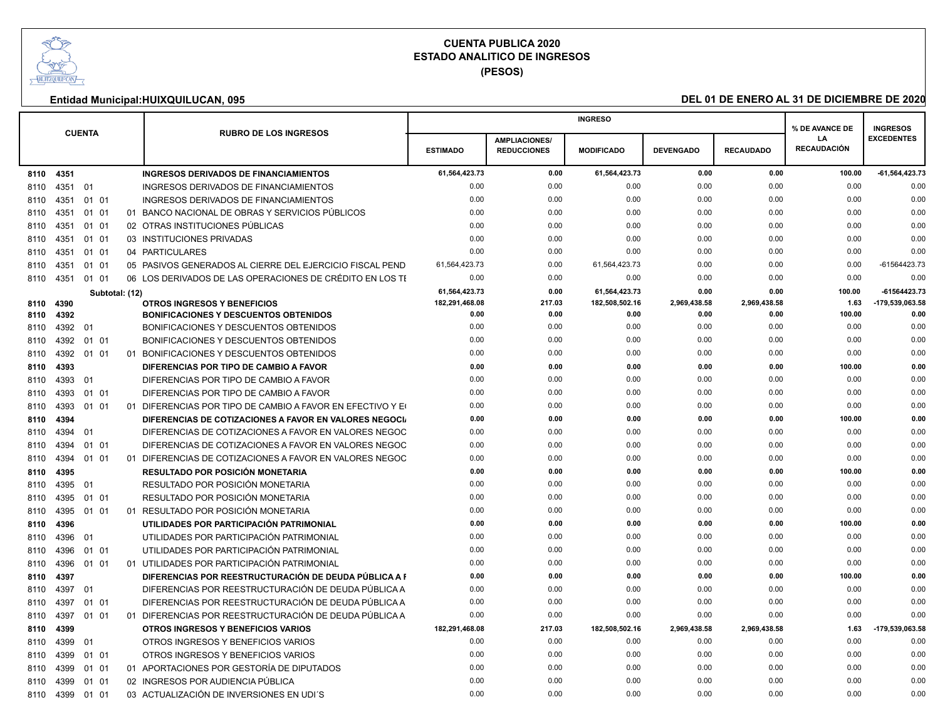

**(PESOS)**

|      |      |                |                                                            |                                 |                                            | <b>INGRESO</b>                  |                      |                      | % DE AVANCE DE           | <b>INGRESOS</b>                |
|------|------|----------------|------------------------------------------------------------|---------------------------------|--------------------------------------------|---------------------------------|----------------------|----------------------|--------------------------|--------------------------------|
|      |      | <b>CUENTA</b>  | <b>RUBRO DE LOS INGRESOS</b>                               | <b>ESTIMADO</b>                 | <b>AMPLIACIONES/</b><br><b>REDUCCIONES</b> | <b>MODIFICADO</b>               | <b>DEVENGADO</b>     | <b>RECAUDADO</b>     | LA<br><b>RECAUDACIÓN</b> | <b>EXCEDENTES</b>              |
| 8110 | 4351 |                | <b>INGRESOS DERIVADOS DE FINANCIAMIENTOS</b>               | 61,564,423.73                   | 0.00                                       | 61,564,423.73                   | 0.00                 | 0.00                 | 100.00                   | $-61,564,423.73$               |
| 8110 | 4351 | 01             | INGRESOS DERIVADOS DE FINANCIAMIENTOS                      | 0.00                            | 0.00                                       | 0.00                            | 0.00                 | 0.00                 | 0.00                     | 0.00                           |
| 8110 | 4351 | 01 01          | <b>INGRESOS DERIVADOS DE FINANCIAMIENTOS</b>               | 0.00                            | 0.00                                       | 0.00                            | 0.00                 | 0.00                 | 0.00                     | 0.00                           |
|      |      | 01 01          | 01 BANCO NACIONAL DE OBRAS Y SERVICIOS PÚBLICOS            | 0.00                            | 0.00                                       | 0.00                            | 0.00                 | 0.00                 | 0.00                     | 0.00                           |
| 8110 | 4351 | 01 01          | 02 OTRAS INSTITUCIONES PÚBLICAS                            | 0.00                            | 0.00                                       | 0.00                            | 0.00                 | 0.00                 | 0.00                     | 0.00                           |
| 8110 | 4351 |                | 03 INSTITUCIONES PRIVADAS                                  | 0.00                            | 0.00                                       | 0.00                            | 0.00                 | 0.00                 | 0.00                     | 0.00                           |
| 8110 | 4351 | 01 01          | 04 PARTICULARES                                            | 0.00                            | 0.00                                       | 0.00                            | 0.00                 | 0.00                 | 0.00                     | 0.00                           |
| 8110 | 4351 | 01 01          |                                                            | 61,564,423.73                   | 0.00                                       | 61,564,423.73                   | 0.00                 | 0.00                 | 0.00                     | -61564423.73                   |
| 8110 | 4351 | 01 01          | 05 PASIVOS GENERADOS AL CIERRE DEL EJERCICIO FISCAL PEND   |                                 |                                            |                                 |                      |                      |                          |                                |
| 8110 | 4351 | 01 01          | 06 LOS DERIVADOS DE LAS OPERACIONES DE CRÉDITO EN LOS TI   | 0.00                            | 0.00                                       | 0.00                            | 0.00                 | 0.00                 | 0.00                     | 0.00                           |
| 8110 | 4390 | Subtotal: (12) | <b>OTROS INGRESOS Y BENEFICIOS</b>                         | 61,564,423.73<br>182,291,468.08 | 0.00<br>217.03                             | 61,564,423.73<br>182,508,502.16 | 0.00<br>2,969,438.58 | 0.00<br>2,969,438.58 | 100.00<br>1.63           | -61564423.73<br>179,539,063.58 |
| 8110 | 4392 |                | <b>BONIFICACIONES Y DESCUENTOS OBTENIDOS</b>               | 0.00                            | 0.00                                       | 0.00                            | 0.00                 | 0.00                 | 100.00                   | 0.00                           |
| 8110 | 4392 | 01             | BONIFICACIONES Y DESCUENTOS OBTENIDOS                      | 0.00                            | 0.00                                       | 0.00                            | 0.00                 | 0.00                 | 0.00                     | 0.00                           |
| 8110 | 4392 | 01 01          | BONIFICACIONES Y DESCUENTOS OBTENIDOS                      | 0.00                            | 0.00                                       | 0.00                            | 0.00                 | 0.00                 | 0.00                     | 0.00                           |
| 8110 | 4392 | 01 01          | 01 BONIFICACIONES Y DESCUENTOS OBTENIDOS                   | 0.00                            | 0.00                                       | 0.00                            | 0.00                 | 0.00                 | 0.00                     | 0.00                           |
| 8110 | 4393 |                | DIFERENCIAS POR TIPO DE CAMBIO A FAVOR                     | 0.00                            | 0.00                                       | 0.00                            | 0.00                 | 0.00                 | 100.00                   | 0.00                           |
| 8110 | 4393 | 01             | DIFERENCIAS POR TIPO DE CAMBIO A FAVOR                     | 0.00                            | 0.00                                       | 0.00                            | 0.00                 | 0.00                 | 0.00                     | 0.00                           |
| 8110 | 4393 | 01 01          | DIFERENCIAS POR TIPO DE CAMBIO A FAVOR                     | 0.00                            | 0.00                                       | 0.00                            | 0.00                 | 0.00                 | 0.00                     | 0.00                           |
| 8110 | 4393 | 01 01          | 01 DIFERENCIAS POR TIPO DE CAMBIO A FAVOR EN EFECTIVO Y EQ | 0.00                            | 0.00                                       | 0.00                            | 0.00                 | 0.00                 | 0.00                     | 0.00                           |
| 8110 | 4394 |                | DIFERENCIAS DE COTIZACIONES A FAVOR EN VALORES NEGOCIA     | 0.00                            | 0.00                                       | 0.00                            | 0.00                 | 0.00                 | 100.00                   | 0.00                           |
| 8110 | 4394 | 01             | DIFERENCIAS DE COTIZACIONES A FAVOR EN VALORES NEGOC       | 0.00                            | 0.00                                       | 0.00                            | 0.00                 | 0.00                 | 0.00                     | 0.00                           |
| 8110 | 4394 | 01 01          | DIFERENCIAS DE COTIZACIONES A FAVOR EN VALORES NEGOC       | 0.00                            | 0.00                                       | 0.00                            | 0.00                 | 0.00                 | 0.00                     | 0.00                           |
| 8110 | 4394 | 01 01          | 01 DIFERENCIAS DE COTIZACIONES A FAVOR EN VALORES NEGOC    | 0.00                            | 0.00                                       | 0.00                            | 0.00                 | 0.00                 | 0.00                     | 0.00                           |
| 8110 | 4395 |                | RESULTADO POR POSICIÓN MONETARIA                           | 0.00                            | 0.00                                       | 0.00                            | 0.00                 | 0.00                 | 100.00                   | 0.00                           |
| 8110 | 4395 | 01             | RESULTADO POR POSICIÓN MONETARIA                           | 0.00                            | 0.00                                       | 0.00                            | 0.00                 | 0.00                 | 0.00                     | 0.00                           |
| 8110 | 4395 | 01 01          | RESULTADO POR POSICIÓN MONETARIA                           | 0.00                            | 0.00                                       | 0.00                            | 0.00                 | 0.00                 | 0.00                     | 0.00                           |
| 8110 | 4395 | 01 01          | 01 RESULTADO POR POSICIÓN MONETARIA                        | 0.00                            | 0.00                                       | 0.00                            | 0.00                 | 0.00                 | 0.00                     | 0.00                           |
| 8110 | 4396 |                | UTILIDADES POR PARTICIPACIÓN PATRIMONIAL                   | 0.00                            | 0.00                                       | 0.00                            | 0.00                 | 0.00                 | 100.00                   | 0.00                           |
| 8110 | 4396 | 01             | UTILIDADES POR PARTICIPACIÓN PATRIMONIAL                   | 0.00                            | 0.00                                       | 0.00                            | 0.00                 | 0.00                 | 0.00                     | 0.00                           |
| 8110 | 4396 | 01 01          | UTILIDADES POR PARTICIPACIÓN PATRIMONIAL                   | 0.00                            | 0.00                                       | 0.00                            | 0.00                 | 0.00                 | 0.00                     | 0.00                           |
| 8110 | 4396 | 01 01          | 01 UTILIDADES POR PARTICIPACIÓN PATRIMONIAL                | 0.00                            | 0.00                                       | 0.00                            | 0.00                 | 0.00                 | 0.00                     | 0.00                           |
| 8110 | 4397 |                | DIFERENCIAS POR REESTRUCTURACIÓN DE DEUDA PÚBLICA A F      | 0.00                            | 0.00                                       | 0.00                            | 0.00                 | 0.00                 | 100.00                   | 0.00                           |
| 8110 | 4397 | 01             | DIFERENCIAS POR REESTRUCTURACIÓN DE DEUDA PÚBLICA A        | 0.00                            | 0.00                                       | 0.00                            | 0.00                 | 0.00                 | 0.00                     | 0.00                           |
| 8110 | 4397 | 01 01          | DIFERENCIAS POR REESTRUCTURACIÓN DE DEUDA PÚBLICA A        | 0.00                            | 0.00                                       | 0.00                            | 0.00                 | 0.00                 | 0.00                     | 0.00                           |
| 8110 | 4397 | 01 01          | 01 DIFERENCIAS POR REESTRUCTURACIÓN DE DEUDA PÚBLICA A     | 0.00                            | 0.00                                       | 0.00                            | 0.00                 | 0.00                 | 0.00                     | 0.00                           |
| 8110 | 4399 |                | OTROS INGRESOS Y BENEFICIOS VARIOS                         | 182,291,468.08                  | 217.03                                     | 182,508,502.16                  | 2,969,438.58         | 2,969,438.58         | 1.63                     | -179,539,063.58                |
| 8110 | 4399 | 01             | OTROS INGRESOS Y BENEFICIOS VARIOS                         | 0.00                            | 0.00                                       | 0.00                            | 0.00                 | 0.00                 | 0.00                     | 0.00                           |
| 8110 | 4399 | 01 01          | OTROS INGRESOS Y BENEFICIOS VARIOS                         | 0.00                            | 0.00                                       | 0.00                            | 0.00                 | 0.00                 | 0.00                     | 0.00                           |
| 8110 | 4399 | 01 01          | 01 APORTACIONES POR GESTORÍA DE DIPUTADOS                  | 0.00                            | 0.00                                       | 0.00                            | 0.00                 | 0.00                 | 0.00                     | 0.00                           |
| 8110 | 4399 | 01 01          | 02 INGRESOS POR AUDIENCIA PÚBLICA                          | 0.00                            | 0.00                                       | 0.00                            | 0.00                 | 0.00                 | 0.00                     | 0.00                           |
| 8110 | 4399 | 01 01          | 03 ACTUALIZACIÓN DE INVERSIONES EN UDI'S                   | 0.00                            | 0.00                                       | 0.00                            | 0.00                 | 0.00                 | 0.00                     | 0.00                           |
|      |      |                |                                                            |                                 |                                            |                                 |                      |                      |                          |                                |